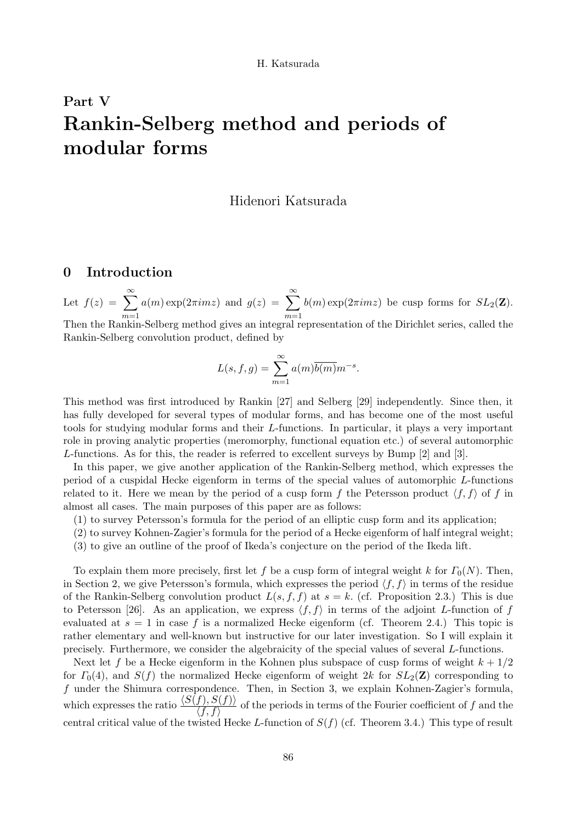# Part V Rankin-Selberg method and periods of modular forms

# Hidenori Katsurada

# 0 Introduction

Let  $f(z) = \sum_{n=0}^{\infty}$  $m=1$  $a(m) \exp(2\pi imz)$  and  $g(z) = \sum_{m=0}^{\infty}$  $m=1$  $b(m) \exp(2\pi imz)$  be cusp forms for  $SL_2(\mathbf{Z})$ . Then the Rankin-Selberg method gives an integral representation of the Dirichlet series, called the Rankin-Selberg convolution product, defined by

$$
L(s, f, g) = \sum_{m=1}^{\infty} a(m)\overline{b(m)}m^{-s}.
$$

This method was first introduced by Rankin [27] and Selberg [29] independently. Since then, it has fully developed for several types of modular forms, and has become one of the most useful tools for studying modular forms and their L-functions. In particular, it plays a very important role in proving analytic properties (meromorphy, functional equation etc.) of several automorphic L-functions. As for this, the reader is referred to excellent surveys by Bump [2] and [3].

In this paper, we give another application of the Rankin-Selberg method, which expresses the period of a cuspidal Hecke eigenform in terms of the special values of automorphic L-functions related to it. Here we mean by the period of a cusp form f the Petersson product  $\langle f, f \rangle$  of f in almost all cases. The main purposes of this paper are as follows:

- (1) to survey Petersson's formula for the period of an elliptic cusp form and its application;
- (2) to survey Kohnen-Zagier's formula for the period of a Hecke eigenform of half integral weight;
- (3) to give an outline of the proof of Ikeda's conjecture on the period of the Ikeda lift.

To explain them more precisely, first let f be a cusp form of integral weight k for  $\Gamma_0(N)$ . Then, in Section 2, we give Petersson's formula, which expresses the period  $\langle f, f \rangle$  in terms of the residue of the Rankin-Selberg convolution product  $L(s, f, f)$  at  $s = k$ . (cf. Proposition 2.3.) This is due to Petersson [26]. As an application, we express  $\langle f, f \rangle$  in terms of the adjoint L-function of f evaluated at  $s = 1$  in case f is a normalized Hecke eigenform (cf. Theorem 2.4.) This topic is rather elementary and well-known but instructive for our later investigation. So I will explain it precisely. Furthermore, we consider the algebraicity of the special values of several L-functions.

Next let f be a Hecke eigenform in the Kohnen plus subspace of cusp forms of weight  $k + 1/2$ for  $\Gamma_0(4)$ , and  $S(f)$  the normalized Hecke eigenform of weight 2k for  $SL_2(\mathbb{Z})$  corresponding to f under the Shimura correspondence. Then, in Section 3, we explain Kohnen-Zagier's formula, which expresses the ratio  $\frac{\langle S(f), S(f) \rangle}{\langle f, f \rangle}$  of the periods in terms of the Fourier coefficient of f and the central critical value of the twisted Hecke L-function of  $S(f)$  (cf. Theorem 3.4.) This type of result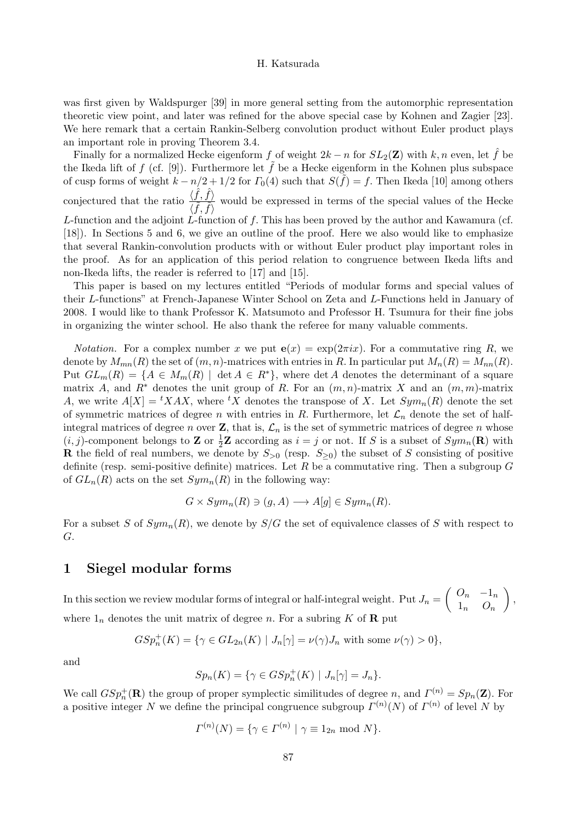was first given by Waldspurger [39] in more general setting from the automorphic representation theoretic view point, and later was refined for the above special case by Kohnen and Zagier [23]. We here remark that a certain Rankin-Selberg convolution product without Euler product plays an important role in proving Theorem 3.4.

Finally for a normalized Hecke eigenform f of weight  $2k - n$  for  $SL_2(\mathbb{Z})$  with k, n even, let f be the Ikeda lift of f (cf. [9]). Furthermore let  $\tilde{f}$  be a Hecke eigenform in the Kohnen plus subspace of cusp forms of weight  $k - n/2 + 1/2$  for  $\Gamma_0(4)$  such that  $S(\tilde{f}) = f$ . Then Ikeda [10] among others conjectured that the ratio  $\frac{\langle \hat{f}, \hat{f} \rangle}{\langle \tilde{f}, \tilde{f} \rangle}$  $\langle \hat{f}, \hat{f} \rangle$  would be expressed in terms of the special values of the Hecke L-function and the adjoint  $\tilde{L}$ -function of f. This has been proved by the author and Kawamura (cf. [18]). In Sections 5 and 6, we give an outline of the proof. Here we also would like to emphasize that several Rankin-convolution products with or without Euler product play important roles in the proof. As for an application of this period relation to congruence between Ikeda lifts and non-Ikeda lifts, the reader is referred to [17] and [15].

This paper is based on my lectures entitled "Periods of modular forms and special values of their L-functions" at French-Japanese Winter School on Zeta and L-Functions held in January of 2008. I would like to thank Professor K. Matsumoto and Professor H. Tsumura for their fine jobs in organizing the winter school. He also thank the referee for many valuable comments.

*Notation.* For a complex number x we put  $e(x) = \exp(2\pi ix)$ . For a commutative ring R, we denote by  $M_{mn}(R)$  the set of  $(m, n)$ -matrices with entries in R. In particular put  $M_n(R) = M_{nn}(R)$ . Put  $GL_m(R) = \{A \in M_m(R) \mid \det A \in R^*\}$ , where  $\det A$  denotes the determinant of a square matrix A, and  $R^*$  denotes the unit group of R. For an  $(m, n)$ -matrix X and an  $(m, m)$ -matrix A, we write  $A[X] = {}^{t}XAX$ , where  ${}^{t}X$  denotes the transpose of X. Let  $Sym_n(R)$  denote the set of symmetric matrices of degree n with entries in R. Furthermore, let  $\mathcal{L}_n$  denote the set of halfintegral matrices of degree n over  $\mathbf{Z}$ , that is,  $\mathcal{L}_n$  is the set of symmetric matrices of degree n whose  $(i, j)$ -component belongs to **Z** or  $\frac{1}{2}$ **Z** according as  $i = j$  or not. If S is a subset of  $Sym_n(\mathbf{R})$  with **R** the field of real numbers, we denote by  $S_{>0}$  (resp.  $S_{>0}$ ) the subset of S consisting of positive definite (resp. semi-positive definite) matrices. Let  $R$  be a commutative ring. Then a subgroup  $G$ of  $GL_n(R)$  acts on the set  $Sym_n(R)$  in the following way:

$$
G \times Sym_n(R) \ni (g, A) \longrightarrow A[g] \in Sym_n(R).
$$

For a subset S of  $Sym_n(R)$ , we denote by  $S/G$  the set of equivalence classes of S with respect to G.

# 1 Siegel modular forms

In this section we review modular forms of integral or half-integral weight. Put  $J_n =$  $\begin{pmatrix} Q_n & -1_n \end{pmatrix}$  $1_n$   $O_n$  $\setminus$ , where  $1_n$  denotes the unit matrix of degree n. For a subring K of **R** put

$$
GSp_n^+(K) = \{ \gamma \in GL_{2n}(K) \mid J_n[\gamma] = \nu(\gamma)J_n \text{ with some } \nu(\gamma) > 0 \},
$$

and

$$
Sp_n(K) = \{ \gamma \in GSp_n^+(K) \mid J_n[\gamma] = J_n \}.
$$

We call  $GSp_n^+(\mathbf{R})$  the group of proper symplectic similitudes of degree n, and  $\Gamma^{(n)} = Sp_n(\mathbf{Z})$ . For a positive integer N we define the principal congruence subgroup  $\Gamma^{(n)}(N)$  of  $\Gamma^{(n)}$  of level N by

$$
\Gamma^{(n)}(N) = \{ \gamma \in \Gamma^{(n)} \mid \gamma \equiv 1_{2n} \bmod N \}.
$$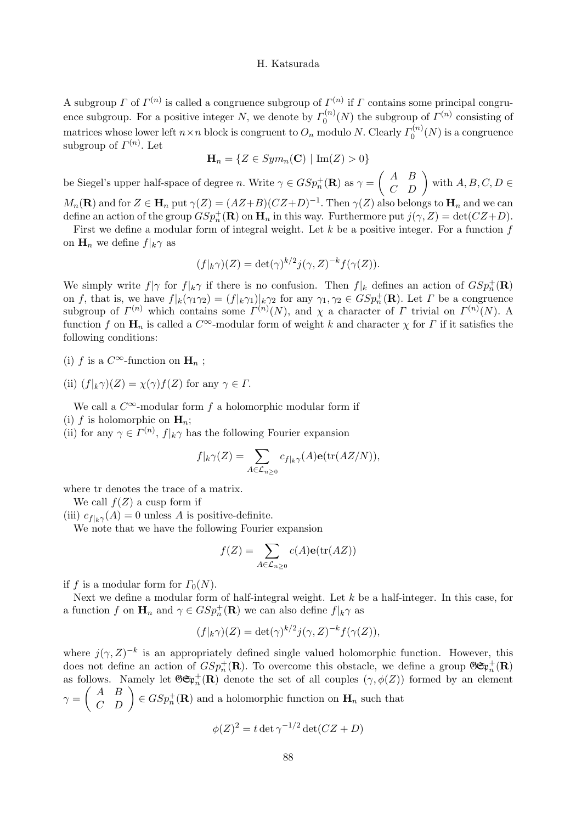A subgroup  $\Gamma$  of  $\Gamma^{(n)}$  is called a congruence subgroup of  $\Gamma^{(n)}$  if  $\Gamma$  contains some principal congruence subgroup. For a positive integer N, we denote by  $\Gamma_0^{(n)}(N)$  the subgroup of  $\Gamma^{(n)}$  consisting of matrices whose lower left  $n \times n$  block is congruent to  $O_n$  modulo N. Clearly  $\Gamma_0^{(n)}(N)$  is a congruence subgroup of  $\Gamma^{(n)}$ . Let

$$
\mathbf{H}_n = \{ Z \in Sym_n(\mathbf{C}) \mid \mathrm{Im}(Z) > 0 \}
$$

be Siegel's upper half-space of degree n. Write  $\gamma \in GSp_n^+(\mathbf R)$  as  $\gamma =$  $\left(\begin{array}{cc} A & B \\ C & D \end{array}\right)$  with  $A,B,C,D\in$ 

 $M_n(\mathbf{R})$  and for  $Z \in \mathbf{H}_n$  put  $\gamma(Z) = (AZ+B)(CZ+D)^{-1}$ . Then  $\gamma(Z)$  also belongs to  $\mathbf{H}_n$  and we can define an action of the group  $GSp_n^+(\mathbf{R})$  on  $\mathbf{H}_n$  in this way. Furthermore put  $j(\gamma, Z) = \det(CZ+D)$ .

First we define a modular form of integral weight. Let  $k$  be a positive integer. For a function  $f$ on  $\mathbf{H}_n$  we define  $f|_k \gamma$  as

$$
(f|_{k}\gamma)(Z) = \det(\gamma)^{k/2} j(\gamma, Z)^{-k} f(\gamma(Z)).
$$

We simply write  $f|\gamma$  for  $f|_k\gamma$  if there is no confusion. Then  $f|_k$  defines an action of  $GSp_n^+(\mathbf{R})$ on f, that is, we have  $f|_k(\gamma_1\gamma_2) = (f|_k\gamma_1)|_k\gamma_2$  for any  $\gamma_1, \gamma_2 \in GSp_n^+(\mathbf{R})$ . Let  $\Gamma$  be a congruence subgroup of  $\Gamma^{(n)}$  which contains some  $\Gamma^{(n)}(N)$ , and  $\chi$  a character of  $\Gamma$  trivial on  $\Gamma^{(n)}(N)$ . A function f on  $\mathbf{H}_n$  is called a  $C^{\infty}$ -modular form of weight k and character  $\chi$  for  $\Gamma$  if it satisfies the following conditions:

- (i) f is a  $C^{\infty}$ -function on  $\mathbf{H}_n$ ;
- (ii)  $(f|_{k}\gamma)(Z) = \chi(\gamma)f(Z)$  for any  $\gamma \in \Gamma$ .

We call a  $C^{\infty}$ -modular form f a holomorphic modular form if

(i) f is holomorphic on  $\mathbf{H}_n$ ;

(ii) for any  $\gamma \in \Gamma^{(n)}$ ,  $f|_k \gamma$  has the following Fourier expansion

$$
f|_k\gamma(Z)=\sum_{A\in\mathcal{L}_{n\geq 0}}c_{f|_k\gamma}(A)\mathbf{e}(\mathrm{tr}(AZ/N)),
$$

where tr denotes the trace of a matrix.

We call  $f(Z)$  a cusp form if

(iii)  $c_{f|k}(\mathcal{A}) = 0$  unless A is positive-definite.

We note that we have the following Fourier expansion

$$
f(Z) = \sum_{A \in \mathcal{L}_{n \ge 0}} c(A) \mathbf{e}(\text{tr}(AZ))
$$

if f is a modular form for  $\Gamma_0(N)$ .

Next we define a modular form of half-integral weight. Let  $k$  be a half-integer. In this case, for a function f on  $\mathbf{H}_n$  and  $\gamma \in GSp_n^+(\mathbf{R})$  we can also define  $f|_k \gamma$  as

$$
(f|_{k}\gamma)(Z) = \det(\gamma)^{k/2} j(\gamma, Z)^{-k} f(\gamma(Z)),
$$

where  $j(\gamma, Z)^{-k}$  is an appropriately defined single valued holomorphic function. However, this does not define an action of  $GSp_n^+(\mathbf{R})$ . To overcome this obstacle, we define a group  $\mathfrak{GF}_n^+(\mathbf{R})$ as follows. Namely let  $\mathfrak{GF}^+_{n}(\mathbf{R})$  denote the set of all couples  $(\gamma, \phi(Z))$  formed by an element  $\gamma =$  $\begin{pmatrix} A & B \\ C & D \end{pmatrix} \in GSp_n^+(\mathbf{R})$  and a holomorphic function on  $\mathbf{H}_n$  such that

$$
\phi(Z)^2 = t \det \gamma^{-1/2} \det (CZ + D)
$$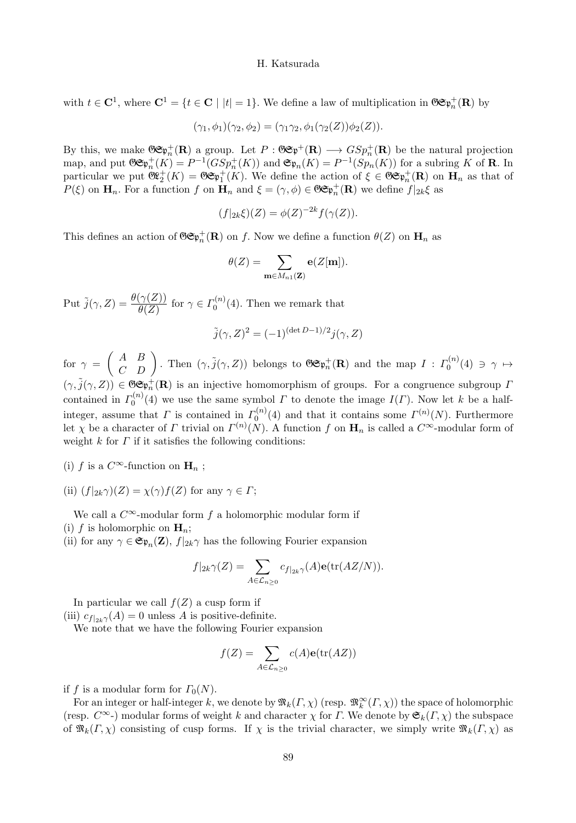with  $t \in \mathbf{C}^1$ , where  $\mathbf{C}^1 = \{t \in \mathbf{C} \mid |t| = 1\}$ . We define a law of multiplication in  $\mathfrak{GF}_n^+(\mathbf{R})$  by

$$
(\gamma_1, \phi_1)(\gamma_2, \phi_2) = (\gamma_1 \gamma_2, \phi_1(\gamma_2(Z))\phi_2(Z)).
$$

By this, we make  $\mathfrak{S}(\mathfrak{F}^+_{n})$  a group. Let  $P : \mathfrak{S}(\mathfrak{F}^+_{n}) \longrightarrow GSp_n^+(\mathbf{R})$  be the natural projection map, and put  $\mathfrak{GF}_n^+(K) = P^{-1}(GSp_n^+(K))$  and  $\mathfrak{F}_n(K) = P^{-1}(Sp_n(K))$  for a subring K of **R**. In particular we put  $\mathfrak{G}^{\mathfrak{g}+}_{2}(K) = \mathfrak{G} \mathfrak{G}^{\mathfrak{g}+}_{1}(K)$ . We define the action of  $\xi \in \mathfrak{G} \mathfrak{G}^{\mathfrak{g}+}_{n}(\mathbf{R})$  on  $\mathbf{H}_n$  as that of  $P(\xi)$  on  $\mathbf{H}_n$ . For a function f on  $\mathbf{H}_n$  and  $\xi = (\gamma, \phi) \in \mathfrak{GF}_n^+(\mathbf{R})$  we define  $f|_{2k}\xi$  as

$$
(f|_{2k}\xi)(Z) = \phi(Z)^{-2k} f(\gamma(Z)).
$$

This defines an action of  $\mathfrak{GF}^+_{n}(\mathbf{R})$  on f. Now we define a function  $\theta(Z)$  on  $\mathbf{H}_n$  as

$$
\theta(Z) = \sum_{\mathbf{m} \in M_{n1}(\mathbf{Z})} \mathbf{e}(Z[\mathbf{m}]).
$$

Put  $\tilde{j}(\gamma, Z) = \frac{\theta(\gamma(Z))}{\theta(Z)}$  for  $\gamma \in \Gamma_0^{(n)}(4)$ . Then we remark that

$$
\tilde{j}(\gamma, Z)^2 = (-1)^{(\det D - 1)/2} j(\gamma, Z)
$$

for  $\gamma =$  $\begin{pmatrix} A & B \\ C & D \end{pmatrix}$ . Then  $(\gamma, \tilde{j}(\gamma, Z))$  belongs to  $\mathfrak{GF}^+_{n}(\mathbf{R})$  and the map  $I: \Gamma_0^{(n)}(4) \ni \gamma \mapsto$  $(\gamma, \tilde{j}(\gamma, Z)) \in \mathfrak{G} \mathfrak{S}^+_{n}(\mathbf{R})$  is an injective homomorphism of groups. For a congruence subgroup  $\Gamma$ contained in  $\Gamma_0^{(n)}(4)$  we use the same symbol  $\Gamma$  to denote the image  $I(\Gamma)$ . Now let k be a halfinteger, assume that  $\Gamma$  is contained in  $\Gamma_0^{(n)}(4)$  and that it contains some  $\Gamma^{(n)}(N)$ . Furthermore let  $\chi$  be a character of  $\Gamma$  trivial on  $\Gamma^{(n)}(N)$ . A function f on  $\mathbf{H}_n$  is called a  $C^{\infty}$ -modular form of weight  $k$  for  $\Gamma$  if it satisfies the following conditions:

- (i) f is a  $C^{\infty}$ -function on  $\mathbf{H}_n$ ;
- (ii)  $(f|_{2k}\gamma)(Z) = \chi(\gamma)f(Z)$  for any  $\gamma \in \Gamma$ ;

We call a  $C^{\infty}$ -modular form f a holomorphic modular form if (i) f is holomorphic on  $\mathbf{H}_n$ ;

(ii) for any  $\gamma \in \mathfrak{S}_{\mathfrak{p}_n}(\mathbf{Z}), f|_{2k}\gamma$  has the following Fourier expansion

$$
f|_{2k}\gamma(Z) = \sum_{A \in \mathcal{L}_{n\geq 0}} c_{f|_{2k}\gamma}(A) \mathbf{e}(\text{tr}(AZ/N)).
$$

In particular we call  $f(Z)$  a cusp form if (iii)  $c_{f|2k}(A) = 0$  unless A is positive-definite.

We note that we have the following Fourier expansion

$$
f(Z) = \sum_{A \in \mathcal{L}_{n \ge 0}} c(A) \mathbf{e}(\text{tr}(AZ))
$$

if f is a modular form for  $\Gamma_0(N)$ .

For an integer or half-integer k, we denote by  $\mathfrak{M}_k(\Gamma,\chi)$  (resp.  $\mathfrak{M}_k^{\infty}(\Gamma,\chi)$ ) the space of holomorphic (resp.  $C^{\infty}$ -) modular forms of weight k and character  $\chi$  for  $\Gamma$ . We denote by  $\mathfrak{S}_k(\Gamma,\chi)$  the subspace of  $\mathfrak{M}_k(\Gamma,\chi)$  consisting of cusp forms. If  $\chi$  is the trivial character, we simply write  $\mathfrak{M}_k(\Gamma,\chi)$  as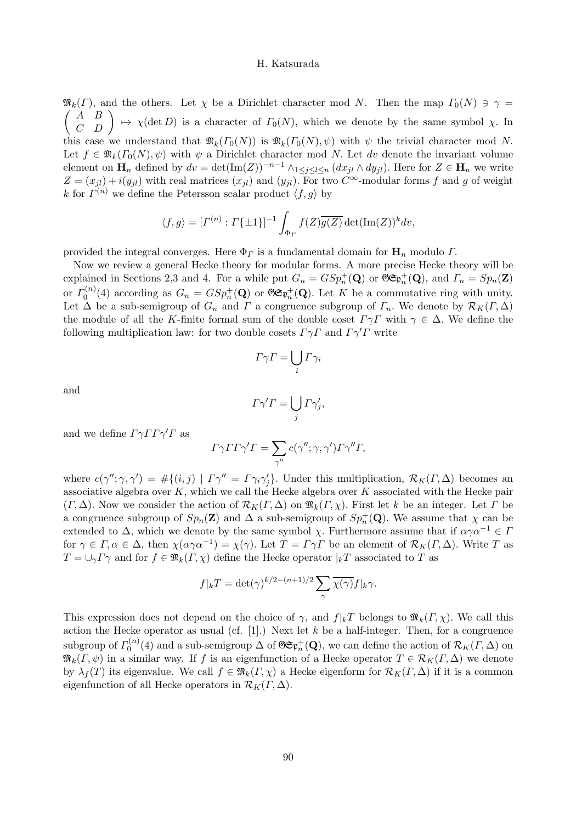$\mathfrak{M}_k(\Gamma)$ , and the others. Let  $\chi$  be a Dirichlet character mod N. Then the map  $\Gamma_0(N) \ni \gamma =$  $\begin{pmatrix} A & B \\ C & D \end{pmatrix} \mapsto \chi(\det D)$  is a character of  $\Gamma_0(N)$ , which we denote by the same symbol  $\chi$ . In this case we understand that  $\mathfrak{M}_k(\Gamma_0(N))$  is  $\mathfrak{M}_k(\Gamma_0(N), \psi)$  with  $\psi$  the trivial character mod N. Let  $f \in \mathfrak{M}_k(\Gamma_0(N), \psi)$  with  $\psi$  a Dirichlet character mod N. Let dv denote the invariant volume element on  $\mathbf{H}_n$  defined by  $dv = \det(\text{Im}(Z))^{-n-1} \wedge_{1 \leq j \leq l \leq n} (dx_{jl} \wedge dy_{jl})$ . Here for  $Z \in \mathbf{H}_n$  we write  $Z = (x_{jl}) + i(y_{jl})$  with real matrices  $(x_{jl})$  and  $(y_{jl})$ . For two  $C^{\infty}$ -modular forms f and g of weight k for  $\Gamma^{(n)}$  we define the Petersson scalar product  $\langle f, g \rangle$  by

$$
\langle f, g \rangle = [I^{(n)} : \Gamma \{\pm 1\}]^{-1} \int_{\Phi_{\Gamma}} f(Z) \overline{g(Z)} \det(\text{Im}(Z))^k dv,
$$

provided the integral converges. Here  $\Phi_{\Gamma}$  is a fundamental domain for  $\mathbf{H}_{n}$  modulo  $\Gamma$ .

Now we review a general Hecke theory for modular forms. A more precise Hecke theory will be explained in Sections 2,3 and 4. For a while put  $G_n = GSp_n^+(\mathbf{Q})$  or  $\mathfrak{GF}_n^+(\mathbf{Q})$ , and  $\Gamma_n = Sp_n(\mathbf{Z})$ or  $\Gamma_0^{(n)}(4)$  according as  $G_n = GSp_n^+(\mathbf{Q})$  or  $\mathfrak{GF}_n^+(\mathbf{Q})$ . Let K be a commutative ring with unity. Let  $\Delta$  be a sub-semigroup of  $G_n$  and  $\Gamma$  a congruence subgroup of  $\Gamma_n$ . We denote by  $\mathcal{R}_K(\Gamma,\Delta)$ the module of all the K-finite formal sum of the double coset  $\Gamma \gamma \Gamma$  with  $\gamma \in \Delta$ . We define the following multiplication law: for two double cosets  $\Gamma \gamma \Gamma$  and  $\Gamma \gamma' \Gamma$  write

$$
\Gamma \gamma \Gamma = \bigcup_i \Gamma \gamma_i
$$

and

$$
\Gamma \gamma' \Gamma = \bigcup_j \Gamma \gamma'_j,
$$

and we define  $\Gamma \gamma \Gamma \Gamma \gamma' \Gamma$  as

$$
\Gamma \gamma \Gamma \Gamma \gamma' \Gamma = \sum_{\gamma''} c(\gamma''; \gamma, \gamma') \Gamma \gamma'' \Gamma,
$$

where  $c(\gamma''; \gamma, \gamma') = #\{(i, j) | \Gamma \gamma'' = \Gamma \gamma_i \gamma_j'\}.$  Under this multiplication,  $\mathcal{R}_K(\Gamma, \Delta)$  becomes an associative algebra over  $K$ , which we call the Hecke algebra over  $K$  associated with the Hecke pair  $(\Gamma, \Delta)$ . Now we consider the action of  $\mathcal{R}_K(\Gamma, \Delta)$  on  $\mathfrak{M}_k(\Gamma, \chi)$ . First let k be an integer. Let  $\Gamma$  be a congruence subgroup of  $Sp_n(\mathbf{Z})$  and  $\Delta$  a sub-semigroup of  $Sp_n^+(\mathbf{Q})$ . We assume that  $\chi$  can be extended to  $\Delta$ , which we denote by the same symbol  $\chi$ . Furthermore assume that if  $\alpha \gamma \alpha^{-1} \in \Gamma$ for  $\gamma \in \Gamma, \alpha \in \Delta$ , then  $\chi(\alpha \gamma \alpha^{-1}) = \chi(\gamma)$ . Let  $T = \Gamma \gamma \Gamma$  be an element of  $\mathcal{R}_K(\Gamma, \Delta)$ . Write T as  $T = \bigcup_{\gamma} \Gamma \gamma$  and for  $f \in \mathfrak{M}_k(\Gamma, \chi)$  define the Hecke operator  $|_{k}T$  associated to T as

$$
f|_{k}T = \det(\gamma)^{k/2 - (n+1)/2} \sum_{\gamma} \overline{\chi(\gamma)} f|_{k} \gamma.
$$

This expression does not depend on the choice of  $\gamma$ , and  $f|_{k}T$  belongs to  $\mathfrak{M}_{k}(F,\chi)$ . We call this action the Hecke operator as usual (cf.  $[1]$ .) Next let k be a half-integer. Then, for a congruence subgroup of  $\Gamma_0^{(n)}(4)$  and a sub-semigroup  $\Delta$  of  $\mathfrak{GF}^+_{n}(\mathbf{Q})$ , we can define the action of  $\mathcal{R}_K(\Gamma,\Delta)$  on  $\mathfrak{M}_k(\Gamma,\psi)$  in a similar way. If f is an eigenfunction of a Hecke operator  $T \in \mathcal{R}_K(\Gamma,\Delta)$  we denote by  $\lambda_f(T)$  its eigenvalue. We call  $f \in \mathfrak{M}_k(\Gamma, \chi)$  a Hecke eigenform for  $\mathcal{R}_K(\Gamma, \Delta)$  if it is a common eigenfunction of all Hecke operators in  $\mathcal{R}_K(\Gamma,\Delta)$ .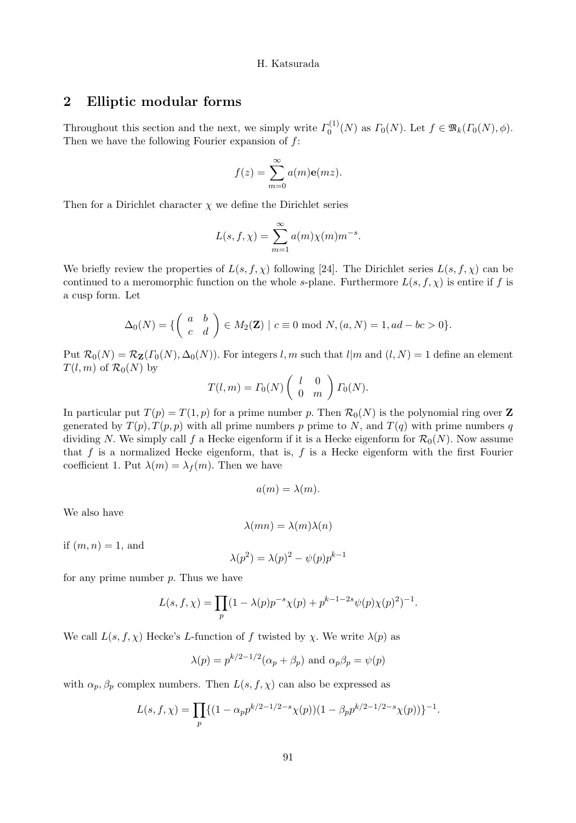# 2 Elliptic modular forms

Throughout this section and the next, we simply write  $\Gamma_0^{(1)}(N)$  as  $\Gamma_0(N)$ . Let  $f \in \mathfrak{R}_k(\Gamma_0(N), \phi)$ . Then we have the following Fourier expansion of  $f$ :

$$
f(z) = \sum_{m=0}^{\infty} a(m) \mathbf{e}(mz).
$$

Then for a Dirichlet character  $\chi$  we define the Dirichlet series

$$
L(s, f, \chi) = \sum_{m=1}^{\infty} a(m)\chi(m)m^{-s}.
$$

We briefly review the properties of  $L(s, f, \chi)$  following [24]. The Dirichlet series  $L(s, f, \chi)$  can be continued to a meromorphic function on the whole s-plane. Furthermore  $L(s, f, \chi)$  is entire if f is a cusp form. Let

$$
\Delta_0(N) = \left\{ \begin{pmatrix} a & b \\ c & d \end{pmatrix} \in M_2(\mathbf{Z}) \mid c \equiv 0 \bmod N, (a, N) = 1, ad - bc > 0 \right\}.
$$

Put  $\mathcal{R}_0(N) = \mathcal{R}_{\mathbf{Z}}(F_0(N), \Delta_0(N))$ . For integers l, m such that l|m and  $(l, N) = 1$  define an element  $T(l, m)$  of  $\mathcal{R}_0(N)$  by

$$
T(l,m) = \Gamma_0(N) \begin{pmatrix} l & 0 \\ 0 & m \end{pmatrix} \Gamma_0(N).
$$

In particular put  $T(p) = T(1, p)$  for a prime number p. Then  $\mathcal{R}_0(N)$  is the polynomial ring over Z generated by  $T(p, T(p, p))$  with all prime numbers p prime to N, and  $T(q)$  with prime numbers q dividing N. We simply call f a Hecke eigenform if it is a Hecke eigenform for  $\mathcal{R}_0(N)$ . Now assume that  $f$  is a normalized Hecke eigenform, that is,  $f$  is a Hecke eigenform with the first Fourier coefficient 1. Put  $\lambda(m) = \lambda_f(m)$ . Then we have

$$
a(m) = \lambda(m).
$$

We also have

$$
\lambda(mn) = \lambda(m)\lambda(n)
$$

if  $(m, n) = 1$ , and

$$
\lambda(p^2) = \lambda(p)^2 - \psi(p)p^{k-1}
$$

for any prime number  $p$ . Thus we have

$$
L(s, f, \chi) = \prod_{p} (1 - \lambda(p)p^{-s}\chi(p) + p^{k-1-2s}\psi(p)\chi(p)^2)^{-1}.
$$

We call  $L(s, f, \chi)$  Hecke's L-function of f twisted by  $\chi$ . We write  $\lambda(p)$  as

$$
\lambda(p) = p^{k/2-1/2}(\alpha_p + \beta_p)
$$
 and  $\alpha_p \beta_p = \psi(p)$ 

with  $\alpha_p, \beta_p$  complex numbers. Then  $L(s, f, \chi)$  can also be expressed as

$$
L(s, f, \chi) = \prod_{p} \{ (1 - \alpha_p p^{k/2 - 1/2 - s} \chi(p)) (1 - \beta_p p^{k/2 - 1/2 - s} \chi(p)) \}^{-1}.
$$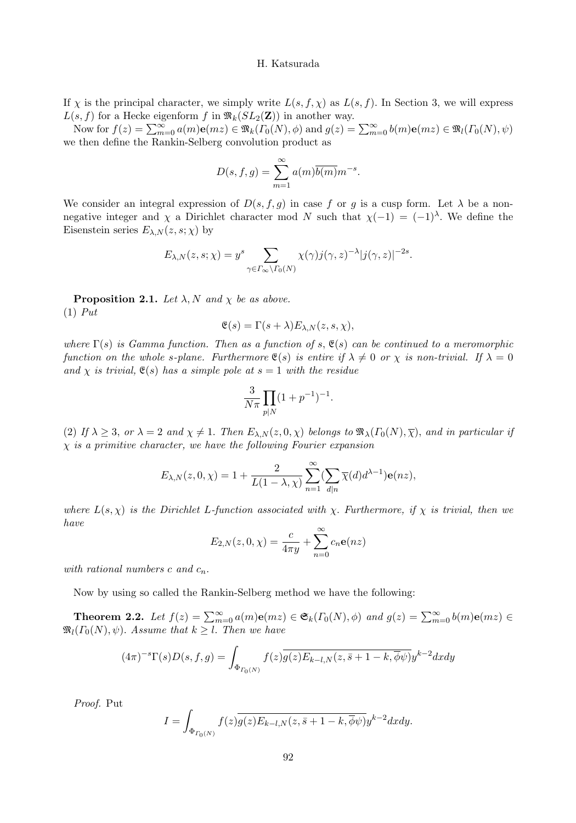If  $\chi$  is the principal character, we simply write  $L(s, f, \chi)$  as  $L(s, f)$ . In Section 3, we will express  $L(s, f)$  for a Hecke eigenform f in  $\mathfrak{M}_k(SL_2(\mathbf{Z}))$  in another way.

Now for  $f(z) = \sum_{m=0}^{\infty} a(m) \mathbf{e}(mz) \in \mathfrak{M}_k(\Gamma_0(N), \phi)$  and  $g(z) = \sum_{m=0}^{\infty} b(m) \mathbf{e}(mz) \in \mathfrak{M}_l(\Gamma_0(N), \psi)$ we then define the Rankin-Selberg convolution product as

$$
D(s, f, g) = \sum_{m=1}^{\infty} a(m)\overline{b(m)}m^{-s}.
$$

We consider an integral expression of  $D(s, f, g)$  in case f or g is a cusp form. Let  $\lambda$  be a nonnegative integer and  $\chi$  a Dirichlet character mod N such that  $\chi(-1) = (-1)^{\lambda}$ . We define the Eisenstein series  $E_{\lambda,N}(z,s;\chi)$  by

$$
E_{\lambda,N}(z,s;\chi) = y^s \sum_{\gamma \in \Gamma_{\infty} \backslash \Gamma_0(N)} \chi(\gamma) j(\gamma,z)^{-\lambda} |j(\gamma,z)|^{-2s}.
$$

**Proposition 2.1.** Let  $\lambda$ , N and  $\chi$  be as above.  $(1)$  Put

$$
\mathfrak{E}(s) = \Gamma(s + \lambda) E_{\lambda, N}(z, s, \chi),
$$

where  $\Gamma(s)$  is Gamma function. Then as a function of s,  $\mathfrak{E}(s)$  can be continued to a meromorphic function on the whole s-plane. Furthermore  $\mathfrak{E}(s)$  is entire if  $\lambda \neq 0$  or  $\chi$  is non-trivial. If  $\lambda = 0$ and  $\chi$  is trivial,  $\mathfrak{E}(s)$  has a simple pole at  $s = 1$  with the residue

$$
\frac{3}{N\pi} \prod_{p|N} (1 + p^{-1})^{-1}.
$$

(2) If  $\lambda \geq 3$ , or  $\lambda = 2$  and  $\chi \neq 1$ . Then  $E_{\lambda,N}(z,0,\chi)$  belongs to  $\Re(\lambda(\Gamma_0(N),\overline{\chi}))$ , and in particular if  $\chi$  is a primitive character, we have the following Fourier expansion

$$
E_{\lambda,N}(z,0,\chi)=1+\frac{2}{L(1-\lambda,\chi)}\sum_{n=1}^{\infty}(\sum_{d|n}\overline{\chi}(d)d^{\lambda-1})\mathbf{e}(nz),
$$

where  $L(s, \chi)$  is the Dirichlet L-function associated with  $\chi$ . Furthermore, if  $\chi$  is trivial, then we have

$$
E_{2,N}(z,0,\chi) = \frac{c}{4\pi y} + \sum_{n=0}^{\infty} c_n \mathbf{e}(nz)
$$

with rational numbers c and  $c_n$ .

Now by using so called the Rankin-Selberg method we have the following:

**Theorem 2.2.** Let  $f(z) = \sum_{m=0}^{\infty} a(m) e(mz) \in \mathfrak{S}_k(\Gamma_0(N), \phi)$  and  $g(z) = \sum_{m=0}^{\infty} b(m) e(mz) \in$  $\mathfrak{M}_l(\Gamma_0(N), \psi)$ . Assume that  $k \geq l$ . Then we have

$$
(4\pi)^{-s}\Gamma(s)D(s,f,g) = \int_{\Phi_{\Gamma_0(N)}} f(z)\overline{g(z)}E_{k-l,N}(z,\overline{s+1-k},\overline{\phi}\psi)y^{k-2}dxdy
$$

Proof. Put

$$
I = \int_{\Phi_{\Gamma_0(N)}} f(z)\overline{g(z)E_{k-l,N}(z,\bar{s}+1-k,\overline{\phi}\psi)}y^{k-2}dxdy.
$$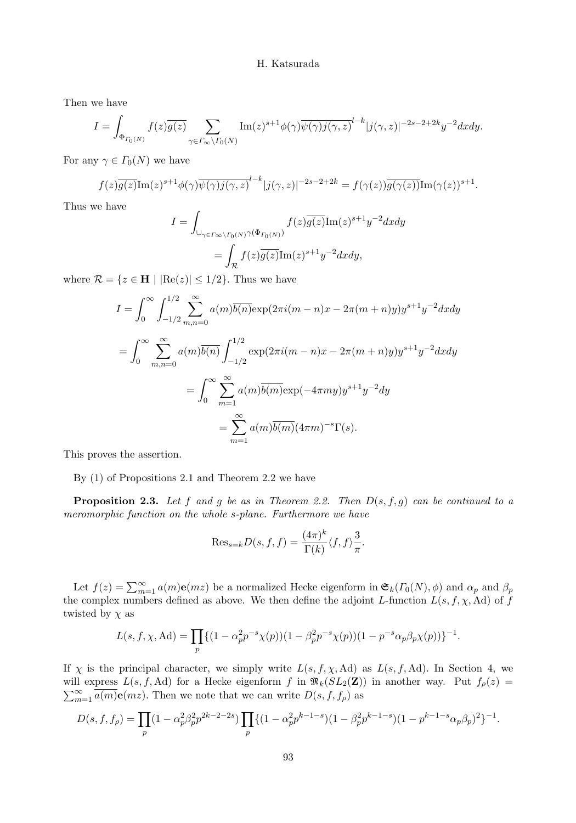Then we have

$$
I = \int_{\Phi_{\Gamma_0(N)}} f(z) \overline{g(z)} \sum_{\gamma \in \Gamma_\infty \backslash \Gamma_0(N)} \text{Im}(z)^{s+1} \phi(\gamma) \overline{\psi(\gamma)} \overline{j(\gamma, z)}^{l-k} |j(\gamma, z)|^{-2s-2+2k} y^{-2} dx dy.
$$

For any  $\gamma \in \Gamma_0(N)$  we have

$$
f(z)\overline{g(z)}\mathrm{Im}(z)^{s+1}\phi(\gamma)\overline{\psi(\gamma)}j(\gamma,z)^{l-k}|j(\gamma,z)|^{-2s-2+2k} = f(\gamma(z))\overline{g(\gamma(z))}\mathrm{Im}(\gamma(z))^{s+1}.
$$

Thus we have

$$
I = \int_{\bigcup_{\gamma \in \Gamma_{\infty} \backslash \Gamma_0(N)} \gamma(\Phi_{\Gamma_0(N)})} f(z) \overline{g(z)} \text{Im}(z)^{s+1} y^{-2} dx dy
$$
  
= 
$$
\int_{\mathcal{R}} f(z) \overline{g(z)} \text{Im}(z)^{s+1} y^{-2} dx dy,
$$

where  $\mathcal{R} = \{z \in \mathbf{H} \mid |\text{Re}(z)| \leq 1/2\}$ . Thus we have

$$
I = \int_0^\infty \int_{-1/2}^{1/2} \sum_{m,n=0}^\infty a(m)\overline{b(n)} \exp(2\pi i(m-n)x - 2\pi (m+n)y)y^{s+1}y^{-2}dxdy
$$
  
= 
$$
\int_0^\infty \sum_{m,n=0}^\infty a(m)\overline{b(n)} \int_{-1/2}^{1/2} \exp(2\pi i(m-n)x - 2\pi (m+n)y)y^{s+1}y^{-2}dxdy
$$
  
= 
$$
\int_0^\infty \sum_{m=1}^\infty a(m)\overline{b(m)} \exp(-4\pi my)y^{s+1}y^{-2}dy
$$
  
= 
$$
\sum_{m=1}^\infty a(m)\overline{b(m)}(4\pi m)^{-s}\Gamma(s).
$$

This proves the assertion.

By (1) of Propositions 2.1 and Theorem 2.2 we have

**Proposition 2.3.** Let f and g be as in Theorem 2.2. Then  $D(s, f, g)$  can be continued to a meromorphic function on the whole s-plane. Furthermore we have

$$
\mathrm{Res}_{s=k}D(s,f,f)=\frac{(4\pi)^k}{\Gamma(k)}\langle f,f\rangle\frac{3}{\pi}.
$$

Let  $f(z) = \sum_{m=1}^{\infty} a(m) \mathbf{e}(mz)$  be a normalized Hecke eigenform in  $\mathfrak{S}_k(\Gamma_0(N), \phi)$  and  $\alpha_p$  and  $\beta_p$ the complex numbers defined as above. We then define the adjoint L-function  $L(s, f, \chi, \text{Ad})$  of f twisted by  $\chi$  as

$$
L(s, f, \chi, \mathrm{Ad}) = \prod_{p} \{ (1 - \alpha_p^2 p^{-s} \chi(p)) (1 - \beta_p^2 p^{-s} \chi(p)) (1 - p^{-s} \alpha_p \beta_p \chi(p)) \}^{-1}.
$$

If  $\chi$  is the principal character, we simply write  $L(s, f, \chi, \text{Ad})$  as  $L(s, f, \text{Ad})$ . In Section 4, we will express  $L(s, f, \text{Ad})$  for a Hecke eigenform f in  $\mathfrak{R}_k(SL_2(\mathbf{Z}))$  in another way. Put  $f_\rho(z)$  =  $\sum_{m=1}^{\infty} \overline{a(m)} \mathbf{e}(mz)$ . Then we note that we can write  $D(s, f, f_{\rho})$  as

$$
D(s, f, f_{\rho}) = \prod_{p} (1 - \alpha_p^2 \beta_p^2 p^{2k - 2 - 2s}) \prod_{p} \{ (1 - \alpha_p^2 p^{k - 1 - s}) (1 - \beta_p^2 p^{k - 1 - s}) (1 - p^{k - 1 - s} \alpha_p \beta_p)^2 \}^{-1}.
$$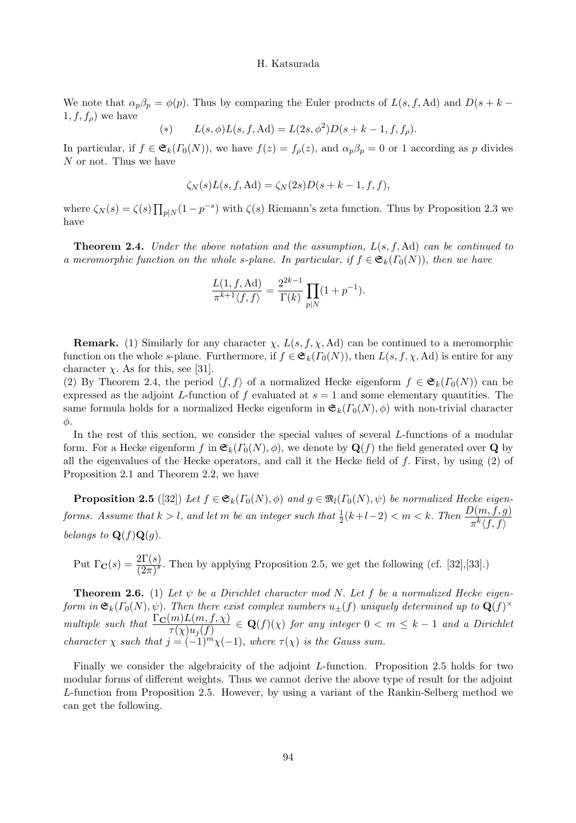We note that  $\alpha_p \beta_p = \phi(p)$ . Thus by comparing the Euler products of  $L(s, f, \text{Ad})$  and  $D(s + k 1, f, f_{\rho}$  we have

(\*) 
$$
L(s, \phi)L(s, f, \text{Ad}) = L(2s, \phi^2)D(s + k - 1, f, f_\rho).
$$

In particular, if  $f \in \mathfrak{S}_k(\Gamma_0(N))$ , we have  $f(z) = f_\rho(z)$ , and  $\alpha_p \beta_p = 0$  or 1 according as p divides N or not. Thus we have

$$
\zeta_N(s)L(s,f,\mathrm{Ad})=\zeta_N(2s)D(s+k-1,f,f),
$$

where  $\zeta_N(s) = \zeta(s) \prod_{p \mid N} (1 - p^{-s})$  with  $\zeta(s)$  Riemann's zeta function. Thus by Proposition 2.3 we have

**Theorem 2.4.** Under the above notation and the assumption,  $L(s, f, Ad)$  can be continued to a meromorphic function on the whole s-plane. In particular, if  $f \in \mathfrak{S}_k(\Gamma_0(N))$ , then we have

$$
\frac{L(1, f, \text{Ad})}{\pi^{k+1} \langle f, f \rangle} = \frac{2^{2k-1}}{\Gamma(k)} \prod_{p \mid N} (1 + p^{-1}).
$$

**Remark.** (1) Similarly for any character  $\chi$ ,  $L(s, f, \chi, \text{Ad})$  can be continued to a meromorphic function on the whole s-plane. Furthermore, if  $f \in \mathfrak{S}_k(\Gamma_0(N))$ , then  $L(s, f, \chi, \mathrm{Ad})$  is entire for any character  $\chi$ . As for this, see [31].

(2) By Theorem 2.4, the period  $\langle f, f \rangle$  of a normalized Hecke eigenform  $f \in \mathfrak{S}_k(\Gamma_0(N))$  can be expressed as the adjoint L-function of f evaluated at  $s = 1$  and some elementary quantities. The same formula holds for a normalized Hecke eigenform in  $\mathfrak{S}_k(\Gamma_0(N), \phi)$  with non-trivial character φ.

In the rest of this section, we consider the special values of several L-functions of a modular form. For a Hecke eigenform f in  $\mathfrak{E}_k(\Gamma_0(N), \phi)$ , we denote by  $\mathbf{Q}(f)$  the field generated over  $\mathbf{Q}$  by all the eigenvalues of the Hecke operators, and call it the Hecke field of  $f$ . First, by using  $(2)$  of Proposition 2.1 and Theorem 2.2, we have

**Proposition 2.5** ([32]) Let  $f \in \mathfrak{S}_k(\Gamma_0(N), \phi)$  and  $g \in \mathfrak{M}_l(\Gamma_0(N), \psi)$  be normalized Hecke eigenforms. Assume that  $k > l$ , and let m be an integer such that  $\frac{1}{2}(k+l-2) < m < k$ . Then  $\frac{D(m, f, g)}{\pi^k \langle f, f \rangle}$ belongs to  $\mathbf{Q}(f)\mathbf{Q}(g)$ .

Put  $\Gamma_{\bf C}(s) = \frac{2\Gamma(s)}{(2\pi)^s}$ . Then by applying Proposition 2.5, we get the following (cf. [32],[33].)

**Theorem 2.6.** (1) Let  $\psi$  be a Dirichlet character mod N. Let f be a normalized Hecke eigenform in  $\mathfrak{S}_k(\Gamma_0(N), \psi)$ . Then there exist complex numbers  $u_{\pm}(f)$  uniquely determined up to  $\mathbf{Q}(f)^{\times}$ multiple such that  $\frac{\Gamma_{\mathbf{C}}(m)L(m,f,\chi)}{\tau(\chi)u_j(f)} \in \mathbf{Q}(f)(\chi)$  for any integer  $0 < m \leq k-1$  and a Dirichlet character  $\chi$  such that  $j = (-1)^m \chi(-1)$ , where  $\tau(\chi)$  is the Gauss sum.

Finally we consider the algebraicity of the adjoint L-function. Proposition 2.5 holds for two modular forms of different weights. Thus we cannot derive the above type of result for the adjoint L-function from Proposition 2.5. However, by using a variant of the Rankin-Selberg method we can get the following.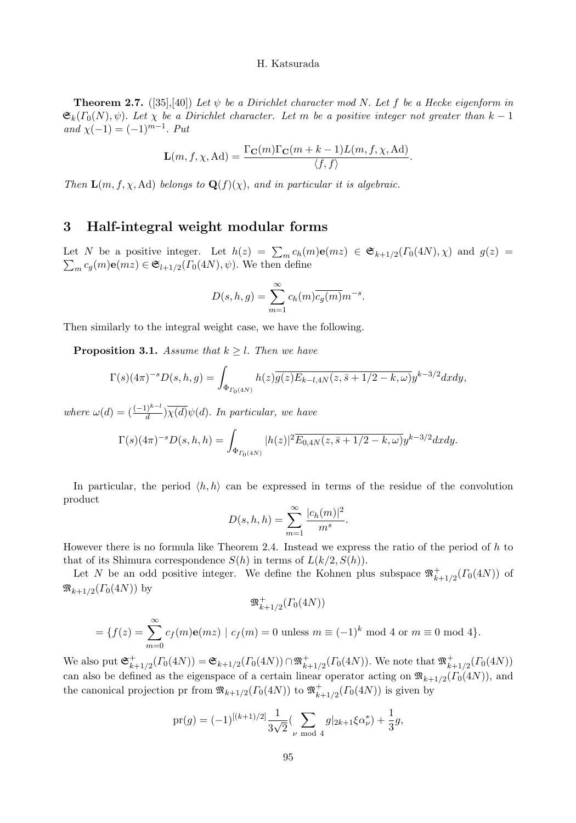**Theorem 2.7.** ([35],[40]) Let  $\psi$  be a Dirichlet character mod N. Let f be a Hecke eigenform in  $\mathfrak{S}_k(\Gamma_0(N), \psi)$ . Let  $\chi$  be a Dirichlet character. Let m be a positive integer not greater than  $k-1$ and  $\chi(-1) = (-1)^{m-1}$ . Put

$$
\mathbf{L}(m, f, \chi, \mathrm{Ad}) = \frac{\Gamma_{\mathbf{C}}(m) \Gamma_{\mathbf{C}}(m+k-1) L(m, f, \chi, \mathrm{Ad})}{\langle f, f \rangle}.
$$

Then  $\mathbf{L}(m, f, \chi, \text{Ad})$  belongs to  $\mathbf{Q}(f)(\chi)$ , and in particular it is algebraic.

# 3 Half-integral weight modular forms

Let N be a positive integer. Let  $h(z) = \sum_m c_h(m) \mathbf{e}(mz) \in \mathfrak{S}_{k+1/2}(\Gamma_0(4N), \chi)$  and  $g(z) =$  $\sum_{m} c_g(m) \mathbf{e}(mz) \in \mathfrak{S}_{l+1/2}(\Gamma_0(4N), \psi)$ . We then define

$$
D(s, h, g) = \sum_{m=1}^{\infty} c_h(m) \overline{c_g(m)} m^{-s}.
$$

Then similarly to the integral weight case, we have the following.

**Proposition 3.1.** Assume that  $k \geq l$ . Then we have

$$
\Gamma(s)(4\pi)^{-s}D(s,h,g) = \int_{\Phi_{\Gamma_0(4N)}} h(z)\overline{g(z)}E_{k-l,4N}(z,\bar{s}+1/2-k,\omega)y^{k-3/2}dxdy,
$$

where  $\omega(d) = \left(\frac{(-1)^{k-l}}{d}\right) \overline{\chi(d)} \psi(d)$ . In particular, we have

$$
\Gamma(s)(4\pi)^{-s}D(s,h,h) = \int_{\Phi_{\Gamma_0(4N)}} |h(z)|^2 \overline{E_{0,4N}(z,\bar{s}+1/2-k,\omega)} y^{k-3/2} dx dy.
$$

In particular, the period  $\langle h, h \rangle$  can be expressed in terms of the residue of the convolution product

$$
D(s, h, h) = \sum_{m=1}^{\infty} \frac{|c_h(m)|^2}{m^s}.
$$

However there is no formula like Theorem 2.4. Instead we express the ratio of the period of  $h$  to that of its Shimura correspondence  $S(h)$  in terms of  $L(k/2, S(h))$ .

Let N be an odd positive integer. We define the Kohnen plus subspace  $\mathfrak{M}^+_{k+1/2}(\Gamma_0(4N))$  of  $\mathfrak{M}_{k+1/2}(\Gamma_0(4N))$  by

$$
\mathfrak{M}_{k+1/2}^+(T_0(4N))
$$
  
=  $\{f(z) = \sum_{m=0}^{\infty} c_f(m) \mathbf{e}(mz) \mid c_f(m) = 0 \text{ unless } m \equiv (-1)^k \text{ mod } 4 \text{ or } m \equiv 0 \text{ mod } 4\}.$ 

We also put  $\mathfrak{S}_{k+1/2}^+(I_0(4N)) = \mathfrak{S}_{k+1/2}(I_0(4N)) \cap \mathfrak{M}_{k+1/2}^+(I_0(4N)).$  We note that  $\mathfrak{M}_{k+1/2}^+(I_0(4N))$ can also be defined as the eigenspace of a certain linear operator acting on  $\mathfrak{M}_{k+1/2}(\Gamma_0(4N))$ , and the canonical projection pr from  $\mathfrak{M}_{k+1/2}(\Gamma_0(4N))$  to  $\mathfrak{M}_{k+1/2}^+(\Gamma_0(4N))$  is given by

$$
\text{pr}(g) = (-1)^{[(k+1)/2]} \frac{1}{3\sqrt{2}} \left( \sum_{\nu \bmod{4}} g|_{2k+1} \xi \alpha_{\nu}^* \right) + \frac{1}{3} g,
$$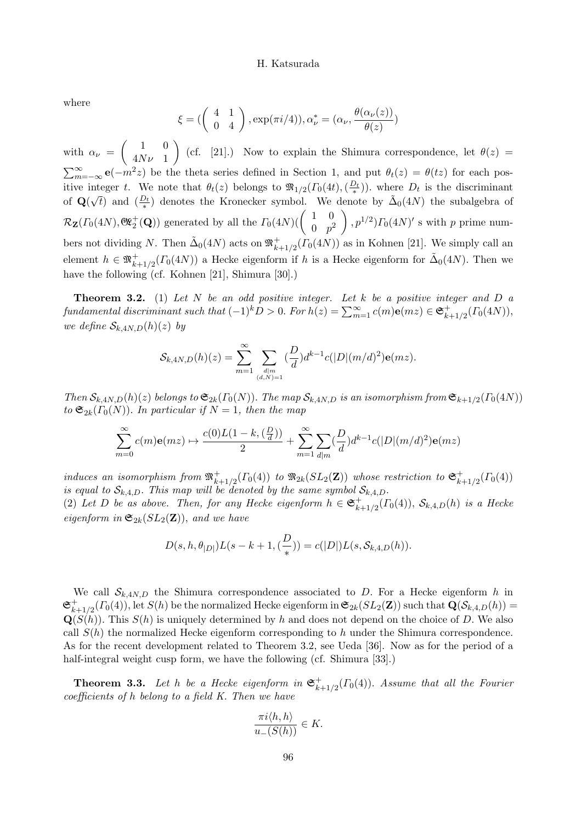where

$$
\xi = \left( \begin{pmatrix} 4 & 1 \\ 0 & 4 \end{pmatrix}, \exp(\pi i/4)), \alpha_{\nu}^* = (\alpha_{\nu}, \frac{\theta(\alpha_{\nu}(z))}{\theta(z)})
$$

with  $\alpha_{\nu} =$  $(1 \ 0)$  $4N\nu$  1  $\setminus$ (cf. [21].) Now to explain the Shimura correspondence, let  $\theta(z)$  =  $\sum_{m=-\infty}^{\infty} e(-m^2z)$  be the theta series defined in Section 1, and put  $\theta_t(z) = \theta(tz)$  for each positive integer t. We note that  $\theta_t(z)$  belongs to  $\mathfrak{M}_{1/2}(\Gamma_0(4t),(\frac{D_t}{*}))$ . where  $D_t$  is the discriminant of  $\mathbf{Q}(\sqrt{t})$  and  $(\frac{D_t}{\ast})$  denotes the Kronecker symbol. We denote by  $\tilde{\Delta}_0(4N)$  the subalgebra of ∗  $\mathcal{R}_{\mathbf{Z}}(F_0(4N), \mathfrak{G}_{2}^+(\mathbf{Q}))$  generated by all the  $F_0(4N)$ ( $\begin{pmatrix} 1 & 0 \\ 0 & n^2 \end{pmatrix}$  $0 \quad p^2$  $\Big), p^{1/2}$ ) $\Gamma_0(4N)'$  s with p prime numbers not dividing N. Then  $\tilde{\Delta}_0(4N)$  acts on  $\mathfrak{R}^+_{k+1/2}(\Gamma_0(4N))$  as in Kohnen [21]. We simply call an element  $h \in \mathfrak{M}^+_{k+1/2}(\Gamma_0(4N))$  a Hecke eigenform if h is a Hecke eigenform for  $\tilde{\Delta}_0(4N)$ . Then we have the following (cf. Kohnen [21], Shimura [30].)

**Theorem 3.2.** (1) Let  $N$  be an odd positive integer. Let  $k$  be a positive integer and  $D$  a fundamental discriminant such that  $(-1)^k D > 0$ . For  $h(z) = \sum_{m=1}^{\infty} c(m) \mathbf{e}(mz) \in \mathfrak{S}_{k+1/2}^+(I_0(4N)),$ we define  $S_{k,4N,D}(h)(z)$  by

$$
\mathcal{S}_{k,4N,D}(h)(z) = \sum_{m=1}^{\infty} \sum_{\substack{d|m\\(d,N)=1}} {(\frac{D}{d})d^{k-1}c(|D|(m/d)^2)\mathbf{e}(mz)}.
$$

Then  $\mathcal{S}_{k,4N,D}(h)(z)$  belongs to  $\mathfrak{S}_{2k}(\Gamma_0(N))$ . The map  $\mathcal{S}_{k,4N,D}$  is an isomorphism from  $\mathfrak{S}_{k+1/2}(\Gamma_0(4N))$ to  $\mathfrak{S}_{2k}(\Gamma_0(N))$ . In particular if  $N=1$ , then the map

$$
\sum_{m=0}^{\infty} c(m) \mathbf{e}(mz) \mapsto \frac{c(0)L(1-k, (\frac{D}{d}))}{2} + \sum_{m=1}^{\infty} \sum_{d|m} (\frac{D}{d}) d^{k-1} c(|D|(m/d)^2) \mathbf{e}(mz)
$$

induces an isomorphism from  $\mathfrak{M}^+_{k+1/2}(\Gamma_0(4))$  to  $\mathfrak{M}_{2k}(SL_2(\mathbf{Z}))$  whose restriction to  $\mathfrak{S}^+_{k+1/2}(\Gamma_0(4))$ is equal to  $\mathcal{S}_{k,4,D}$ . This map will be denoted by the same symbol  $\mathcal{S}_{k,4,D}$ .

(2) Let D be as above. Then, for any Hecke eigenform  $h \in \mathfrak{S}_{k+1/2}^+(T_0(4))$ ,  $\mathcal{S}_{k,4,D}(h)$  is a Hecke eigenform in  $\mathfrak{S}_{2k}(SL_2(\mathbf{Z}))$ , and we have

$$
D(s, h, \theta_{|D|})L(s - k + 1, \left(\frac{D}{*}\right)) = c(|D|)L(s, \mathcal{S}_{k, 4, D}(h)).
$$

We call  $S_{k,4N,D}$  the Shimura correspondence associated to D. For a Hecke eigenform h in  $\mathfrak{S}_{k+1/2}^+(I_0(4))$ , let  $S(h)$  be the normalized Hecke eigenform in  $\mathfrak{S}_{2k}(SL_2(\mathbf{Z}))$  such that  $\mathbf{Q}(\mathcal{S}_{k,4,D}(h))$  =  $\mathbf{Q}(S(h))$ . This  $S(h)$  is uniquely determined by h and does not depend on the choice of D. We also call  $S(h)$  the normalized Hecke eigenform corresponding to h under the Shimura correspondence. As for the recent development related to Theorem 3.2, see Ueda [36]. Now as for the period of a half-integral weight cusp form, we have the following (cf. Shimura [33].)

**Theorem 3.3.** Let h be a Hecke eigenform in  $\mathfrak{S}_{k+1/2}^+(T_0(4))$ . Assume that all the Fourier coefficients of h belong to a field K. Then we have

$$
\frac{\pi i \langle h, h \rangle}{u_{-}(S(h))} \in K.
$$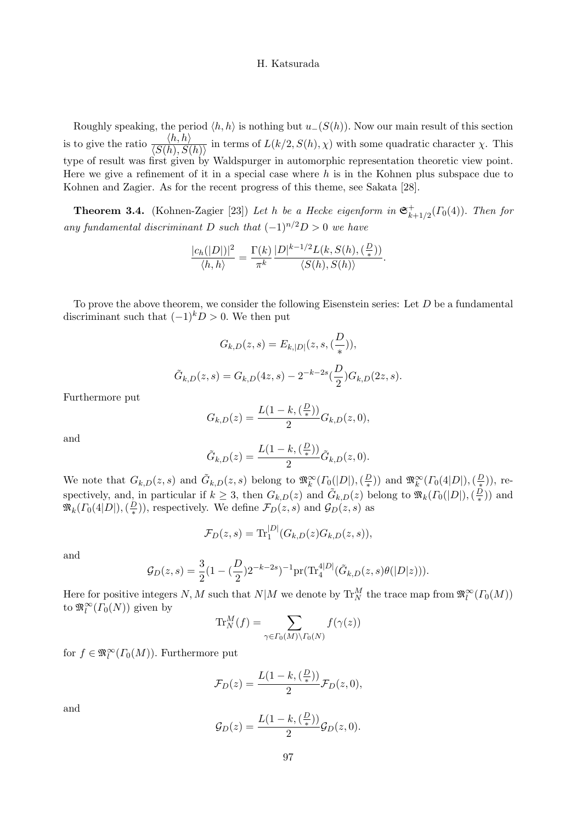Roughly speaking, the period  $\langle h, h \rangle$  is nothing but  $u_-(S(h))$ . Now our main result of this section is to give the ratio  $\frac{\langle h, h \rangle}{\langle S(h), S(h) \rangle}$  in terms of  $L(k/2, S(h), \chi)$  with some quadratic character  $\chi$ . This type of result was first given by Waldspurger in automorphic representation theoretic view point. Here we give a refinement of it in a special case where  $h$  is in the Kohnen plus subspace due to Kohnen and Zagier. As for the recent progress of this theme, see Sakata [28].

**Theorem 3.4.** (Kohnen-Zagier [23]) Let h be a Hecke eigenform in  $\mathfrak{S}_{k+1/2}^+(T_0(4))$ . Then for any fundamental discriminant D such that  $(-1)^{n/2}D > 0$  we have

$$
\frac{|c_h(|D|)|^2}{\langle h,h\rangle} = \frac{\Gamma(k)}{\pi^k} \frac{|D|^{k-1/2} L(k, S(h), \left(\frac{D}{*}\right))}{\langle S(h), S(h)\rangle}.
$$

To prove the above theorem, we consider the following Eisenstein series: Let  $D$  be a fundamental discriminant such that  $(-1)^k D > 0$ . We then put

$$
G_{k,D}(z,s) = E_{k,|D|}(z,s,(\frac{D}{*})),
$$
  

$$
\tilde{G}_{k,D}(z,s) = G_{k,D}(4z,s) - 2^{-k-2s}(\frac{D}{2})G_{k,D}(2z,s).
$$

Furthermore put

$$
G_{k,D}(z) = \frac{L(1-k, (\frac{D}{*}))}{2} G_{k,D}(z,0),
$$

and

$$
\tilde{G}_{k,D}(z) = \frac{L(1-k, (\frac{D}{*}))}{2} \tilde{G}_{k,D}(z,0).
$$

We note that  $G_{k,D}(z,s)$  and  $\tilde{G}_{k,D}(z,s)$  belong to  $\mathfrak{M}_{k}^{\infty}(\Gamma_{0}(|D|),(\frac{D}{*}))$  and  $\mathfrak{M}_{k}^{\infty}(\Gamma_{0}(4|D|),(\frac{D}{*}))$ , respectively, and, in particular if  $k \geq 3$ , then  $G_{k,D}(z)$  and  $\tilde{G}_{k,D}(z)$  belong to  $\mathfrak{M}_k(\Gamma_0(|D|),(\frac{D}{*}))$  $(\frac{D}{*})$  and  $\mathfrak{M}_k(\Gamma_0(4|D|),(\frac{D}{\ast}))$  $(\frac{D}{\ast}))$ , respectively. We define  $\mathcal{F}_D(z,s)$  and  $\mathcal{G}_D(z,s)$  as

$$
\mathcal{F}_D(z,s) = \text{Tr}_1^{|D|}(G_{k,D}(z)G_{k,D}(z,s)),
$$

and

$$
\mathcal{G}_D(z,s) = \frac{3}{2} (1 - (\frac{D}{2})2^{-k-2s})^{-1} \text{pr}(\text{Tr}_4^{4|D|}(\tilde{G}_{k,D}(z,s)\theta(|D|z))).
$$

Here for positive integers  $N, M$  such that  $N|M$  we denote by  $\mathrm{Tr}^M_N$  the trace map from  $\mathfrak{M}^\infty_l(\Gamma_0(M))$ to  $\mathfrak{M}^{\infty}_l(\Gamma_0(N))$  given by

$$
\text{Tr}_{N}^{M}(f) = \sum_{\gamma \in \Gamma_{0}(M) \backslash \Gamma_{0}(N)} f(\gamma(z))
$$

for  $f \in \mathfrak{M}^{\infty}_l(\Gamma_0(M))$ . Furthermore put

$$
\mathcal{F}_D(z) = \frac{L(1-k, (\frac{D}{\ast}))}{2} \mathcal{F}_D(z, 0),
$$

and

$$
\mathcal{G}_D(z) = \frac{L(1-k, (\frac{D}{\ast}))}{2} \mathcal{G}_D(z, 0).
$$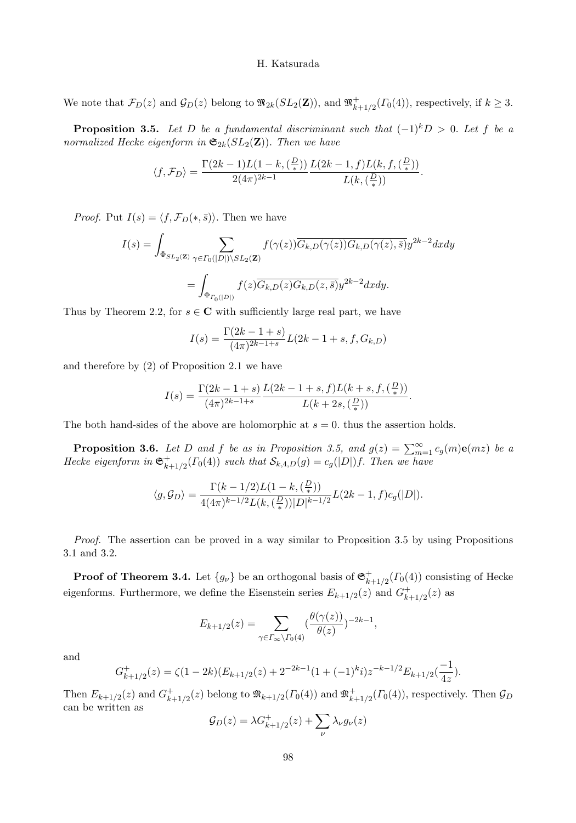We note that  $\mathcal{F}_D(z)$  and  $\mathcal{G}_D(z)$  belong to  $\mathfrak{M}_{2k}(SL_2(\mathbf{Z}))$ , and  $\mathfrak{M}_{k+1/2}^+(T_0(4))$ , respectively, if  $k \geq 3$ .

**Proposition 3.5.** Let D be a fundamental discriminant such that  $(-1)^kD > 0$ . Let f be a normalized Hecke eigenform in  $\mathfrak{S}_{2k}(SL_2(\mathbf{Z}))$ . Then we have

$$
\langle f, \mathcal{F}_D \rangle = \frac{\Gamma(2k-1)L(1-k, \left(\frac{D}{*}\right))}{2(4\pi)^{2k-1}} \frac{L(2k-1, f)L(k, f, \left(\frac{D}{*}\right))}{L(k, \left(\frac{D}{*}\right))}.
$$

*Proof.* Put  $I(s) = \langle f, \mathcal{F}_D(*, \bar{s}) \rangle$ . Then we have

$$
I(s) = \int_{\Phi_{SL_2(\mathbf{Z})}} \sum_{\gamma \in \Gamma_0(|D|) \backslash SL_2(\mathbf{Z})} f(\gamma(z)) \overline{G_{k,D}(\gamma(z))} G_{k,D}(\gamma(z), \overline{s}) y^{2k-2} dx dy
$$
  
= 
$$
\int_{\Phi_{\Gamma_0(|D|)}} f(z) \overline{G_{k,D}(z)} G_{k,D}(z, \overline{s}) y^{2k-2} dx dy.
$$

Thus by Theorem 2.2, for  $s \in \mathbb{C}$  with sufficiently large real part, we have

$$
I(s) = \frac{\Gamma(2k - 1 + s)}{(4\pi)^{2k - 1 + s}} L(2k - 1 + s, f, G_{k,D})
$$

and therefore by (2) of Proposition 2.1 we have

$$
I(s) = \frac{\Gamma(2k - 1 + s)}{(4\pi)^{2k - 1 + s}} \frac{L(2k - 1 + s, f)L(k + s, f, (\frac{D}{*}))}{L(k + 2s, (\frac{D}{*}))}.
$$

The both hand-sides of the above are holomorphic at  $s = 0$ . thus the assertion holds.

**Proposition 3.6.** Let D and f be as in Proposition 3.5, and  $g(z) = \sum_{m=1}^{\infty} c_g(m) \mathbf{e}(mz)$  be a Hecke eigenform in  $\mathfrak{S}_{k+1/2}^+(T_0(4))$  such that  $\mathcal{S}_{k,4,D}(g) = c_g(|D|)f$ . Then we have

$$
\langle g, \mathcal{G}_D \rangle = \frac{\Gamma(k - 1/2)L(1 - k, \left(\frac{D}{*}\right))}{4(4\pi)^{k - 1/2}L(k, \left(\frac{D}{*}\right))|D|^{k - 1/2}}L(2k - 1, f)c_g(|D|).
$$

Proof. The assertion can be proved in a way similar to Proposition 3.5 by using Propositions 3.1 and 3.2.

**Proof of Theorem 3.4.** Let  $\{g_{\nu}\}\$ be an orthogonal basis of  $\mathfrak{S}_{k+1/2}^+(T_0(4))$  consisting of Hecke eigenforms. Furthermore, we define the Eisenstein series  $E_{k+1/2}(z)$  and  $G_{k+1/2}^+(z)$  as

$$
E_{k+1/2}(z) = \sum_{\gamma \in \Gamma_{\infty} \backslash \Gamma_0(4)} \left(\frac{\theta(\gamma(z))}{\theta(z)}\right)^{-2k-1},
$$

and

$$
G_{k+1/2}^+(z) = \zeta(1-2k)(E_{k+1/2}(z)+2^{-2k-1}(1+(-1)^k i)z^{-k-1/2}E_{k+1/2}(\frac{-1}{4z}).
$$

Then  $E_{k+1/2}(z)$  and  $G_{k+1/2}^+(z)$  belong to  $\mathfrak{M}_{k+1/2}(\Gamma_0(4))$  and  $\mathfrak{M}_{k+1/2}^+(\Gamma_0(4))$ , respectively. Then  $\mathcal{G}_D$ can be written as

$$
\mathcal{G}_D(z) = \lambda G_{k+1/2}^+(z) + \sum_{\nu} \lambda_{\nu} g_{\nu}(z)
$$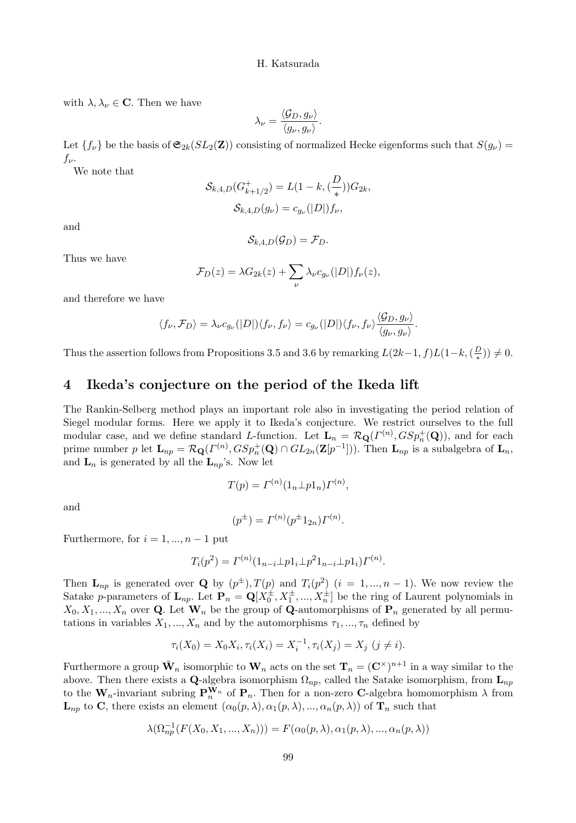with  $\lambda, \lambda_{\nu} \in \mathbf{C}$ . Then we have

$$
\lambda_{\nu} = \frac{\langle \mathcal{G}_D, g_{\nu} \rangle}{\langle g_{\nu}, g_{\nu} \rangle}.
$$

Let  $\{f_\nu\}$  be the basis of  $\mathfrak{S}_{2k}(SL_2(\mathbf{Z}))$  consisting of normalized Hecke eigenforms such that  $S(g_\nu)$  $f_{\nu}$ .

We note that

$$
S_{k,4,D}(G_{k+1/2}^+) = L(1 - k, (\frac{D}{*}))G_{2k},
$$
  

$$
S_{k,4,D}(g_{\nu}) = c_{g_{\nu}}(|D|)f_{\nu},
$$

and

$$
\mathcal{S}_{k,4,D}(\mathcal{G}_D)=\mathcal{F}_D.
$$

Thus we have

$$
\mathcal{F}_D(z) = \lambda G_{2k}(z) + \sum_{\nu} \lambda_{\nu} c_{g_{\nu}}(|D|) f_{\nu}(z),
$$

and therefore we have

$$
\langle f_{\nu}, \mathcal{F}_D \rangle = \lambda_{\nu} c_{g_{\nu}}(|D|) \langle f_{\nu}, f_{\nu} \rangle = c_{g_{\nu}}(|D|) \langle f_{\nu}, f_{\nu} \rangle \frac{\langle \mathcal{G}_D, g_{\nu} \rangle}{\langle g_{\nu}, g_{\nu} \rangle}.
$$

Thus the assertion follows from Propositions 3.5 and 3.6 by remarking  $L(2k-1,f)L(1-k,(\frac{D}{*})$  $(\frac{D}{*})$ )  $\neq 0$ .

# 4 Ikeda's conjecture on the period of the Ikeda lift

The Rankin-Selberg method plays an important role also in investigating the period relation of Siegel modular forms. Here we apply it to Ikeda's conjecture. We restrict ourselves to the full modular case, and we define standard L-function. Let  $\mathbf{L}_n = \mathcal{R}_{\mathbf{Q}}(\Gamma^{(n)}, GSp_n^+(\mathbf{Q}))$ , and for each prime number p let  $\mathbf{L}_{np} = \mathcal{R}_{\mathbf{Q}}(\Gamma^{(n)}, GSp_n^+(\mathbf{Q}) \cap GL_{2n}(\mathbf{Z}[p^{-1}]))$ . Then  $\mathbf{L}_{np}$  is a subalgebra of  $\mathbf{L}_n$ , and  $\mathbf{L}_n$  is generated by all the  $\mathbf{L}_{np}$ 's. Now let

$$
T(p) = \Gamma^{(n)}(1_n \perp p1_n)\Gamma^{(n)},
$$

and

$$
(p^{\pm}) = \Gamma^{(n)}(p^{\pm}1_{2n})\Gamma^{(n)}.
$$

Furthermore, for  $i = 1, ..., n - 1$  put

$$
T_i(p^2) = \Gamma^{(n)}(1_{n-i} \perp p 1_i \perp p^2 1_{n-i} \perp p 1_i) \Gamma^{(n)}.
$$

Then  $\mathbf{L}_{np}$  is generated over Q by  $(p^{\pm})$ ,  $T(p)$  and  $T_i(p^2)$   $(i = 1, ..., n-1)$ . We now review the Satake p-parameters of  $\mathbf{L}_{np}$ . Let  $\mathbf{P}_n = \mathbf{Q}[X_0^{\pm}, X_1^{\pm}, ..., X_n^{\pm}]$  be the ring of Laurent polynomials in  $X_0, X_1, ..., X_n$  over Q. Let  $\mathbf{W}_n$  be the group of Q-automorphisms of  $\mathbf{P}_n$  generated by all permutations in variables  $X_1, ..., X_n$  and by the automorphisms  $\tau_1, ..., \tau_n$  defined by

$$
\tau_i(X_0) = X_0 X_i, \tau_i(X_i) = X_i^{-1}, \tau_i(X_j) = X_j \ (j \neq i).
$$

Furthermore a group  $\tilde{\mathbf{W}}_n$  isomorphic to  $\mathbf{W}_n$  acts on the set  $\mathbf{T}_n = (\mathbf{C}^{\times})^{n+1}$  in a way similar to the above. Then there exists a Q-algebra isomorphism  $\Omega_{np}$ , called the Satake isomorphism, from  $\mathbf{L}_{np}$ to the  $W_n$ -invariant subring  $P_n^{W_n}$  of  $P_n$ . Then for a non-zero C-algebra homomorphism  $\lambda$  from  $\mathbf{L}_{np}$  to C, there exists an element  $(\alpha_0(p,\lambda), \alpha_1(p,\lambda), ..., \alpha_n(p,\lambda))$  of  $\mathbf{T}_n$  such that

$$
\lambda(\Omega_{np}^{-1}(F(X_0,X_1,...,X_n))) = F(\alpha_0(p,\lambda), \alpha_1(p,\lambda), ..., \alpha_n(p,\lambda))
$$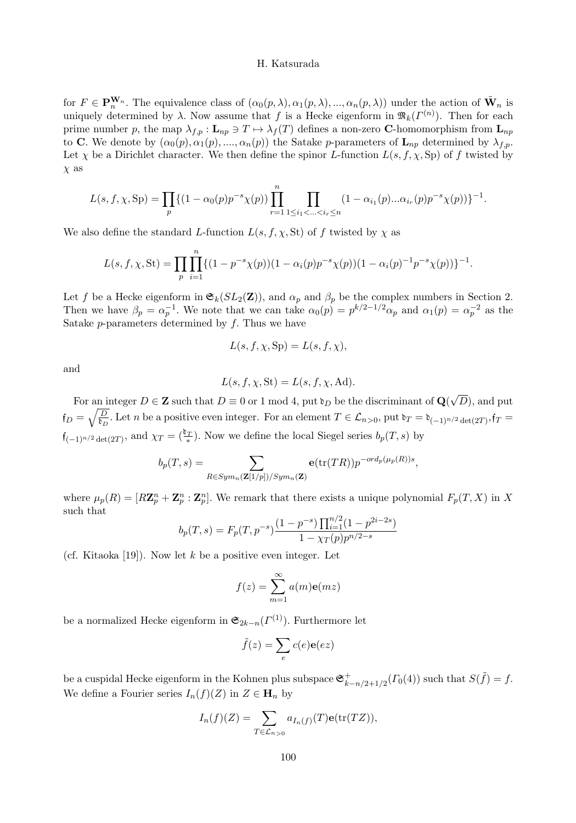for  $F \in \mathbf{P}_n^{\mathbf{W}_n}$ . The equivalence class of  $(\alpha_0(p,\lambda), \alpha_1(p,\lambda), ..., \alpha_n(p,\lambda))$  under the action of  $\tilde{\mathbf{W}}_n$  is uniquely determined by  $\lambda$ . Now assume that f is a Hecke eigenform in  $\mathfrak{M}_k(\Gamma^{(n)})$ . Then for each prime number p, the map  $\lambda_{f,p} : \mathbf{L}_{np} \ni T \mapsto \lambda_f(T)$  defines a non-zero **C**-homomorphism from  $\mathbf{L}_{np}$ to **C**. We denote by  $(\alpha_0(p), \alpha_1(p), ..., \alpha_n(p))$  the Satake p-parameters of  $\mathbf{L}_{np}$  determined by  $\lambda_{fp}$ . Let  $\chi$  be a Dirichlet character. We then define the spinor L-function  $L(s, f, \chi, Sp)$  of f twisted by  $\chi$  as

$$
L(s, f, \chi, \text{Sp}) = \prod_{p} \{ (1 - \alpha_0(p)p^{-s}\chi(p)) \prod_{r=1}^n \prod_{1 \le i_1 < \dots < i_r \le n} (1 - \alpha_{i_1}(p) \dots \alpha_{i_r}(p)p^{-s}\chi(p)) \}^{-1}.
$$

We also define the standard L-function  $L(s, f, \chi, St)$  of f twisted by  $\chi$  as

$$
L(s, f, \chi, St) = \prod_{p} \prod_{i=1}^{n} \{ (1 - p^{-s} \chi(p)) (1 - \alpha_i(p) p^{-s} \chi(p)) (1 - \alpha_i(p)^{-1} p^{-s} \chi(p)) \}^{-1}.
$$

Let f be a Hecke eigenform in  $\mathfrak{S}_k(SL_2(\mathbf{Z}))$ , and  $\alpha_p$  and  $\beta_p$  be the complex numbers in Section 2. Then we have  $\beta_p = \alpha_p^{-1}$ . We note that we can take  $\alpha_0(p) = p^{k/2-1/2} \alpha_p$  and  $\alpha_1(p) = \alpha_p^{-2}$  as the Satake  $p$ -parameters determined by  $f$ . Thus we have

$$
L(s, f, \chi, \text{Sp}) = L(s, f, \chi),
$$

and

$$
L(s, f, \chi, \mathrm{St}) = L(s, f, \chi, \mathrm{Ad}).
$$

For an integer  $D \in \mathbb{Z}$  such that  $D \equiv 0$  or 1 mod 4, put  $\mathfrak{d}_D$  be the discriminant of  $\mathbf{Q}(\sqrt{D})$ , and put  $f_D = \sqrt{\frac{D}{b_D}}$ . Let n be a positive even integer. For an element  $T \in \mathcal{L}_{n>0}$ , put  $b_T = b_{(-1)^{n/2} \det(2T)}, f_T = b_T$  $f_{(-1)^{n/2}\det(2T)}$ , and  $\chi_T = \left(\frac{b_T}{*}\right)$ . Now we define the local Siegel series  $b_p(T, s)$  by

$$
b_p(T,s) = \sum_{R \in Sym_n(\mathbf{Z}[1/p])/Sym_n(\mathbf{Z})} \mathbf{e}(\text{tr}(TR)) p^{-ord_p(\mu_p(R))s},
$$

where  $\mu_p(R) = [R\mathbf{Z}_p^n + \mathbf{Z}_p^n : \mathbf{Z}_p^n]$ . We remark that there exists a unique polynomial  $F_p(T, X)$  in X such that

$$
b_p(T,s) = F_p(T, p^{-s}) \frac{(1-p^{-s}) \prod_{i=1}^{n/2} (1-p^{2i-2s})}{1 - \chi_T(p) p^{n/2-s}}
$$

(cf. Kitaoka [19]). Now let  $k$  be a positive even integer. Let

$$
f(z) = \sum_{m=1}^{\infty} a(m)\mathbf{e}(mz)
$$

be a normalized Hecke eigenform in  $\mathfrak{S}_{2k-n}(\Gamma^{(1)})$ . Furthermore let

$$
\tilde{f}(z) = \sum_{e} c(e) \mathbf{e}(ez)
$$

be a cuspidal Hecke eigenform in the Kohnen plus subspace  $\mathfrak{S}_{k-n/2+1/2}^+(T_0(4))$  such that  $S(\tilde{f}) = f$ . We define a Fourier series  $I_n(f)(Z)$  in  $Z \in \mathbf{H}_n$  by

$$
I_n(f)(Z) = \sum_{T \in \mathcal{L}_{n>0}} a_{I_n(f)}(T) \mathbf{e}(\text{tr}(TZ)),
$$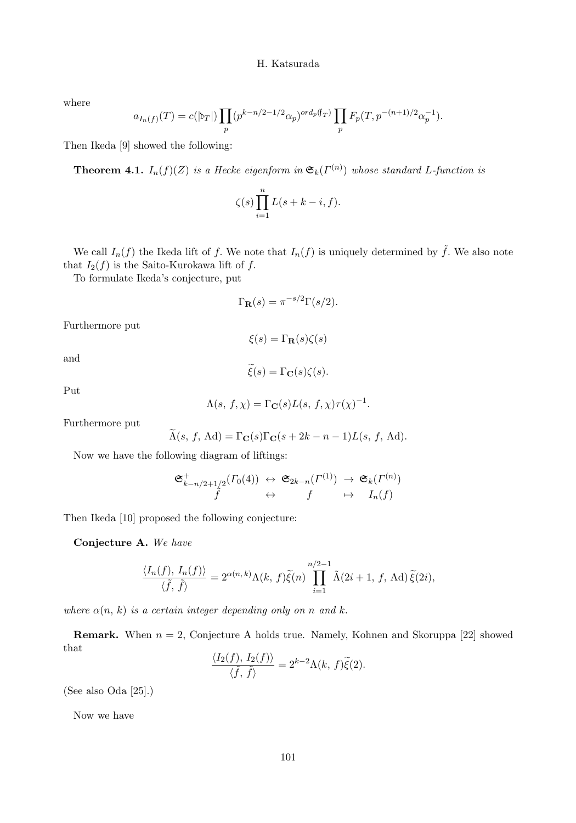where

$$
a_{I_n(f)}(T) = c(|\mathfrak{d}_T|) \prod_p (p^{k-n/2-1/2} \alpha_p)^{ord_p(f_T)} \prod_p F_p(T, p^{-(n+1)/2} \alpha_p^{-1}).
$$

Then Ikeda [9] showed the following:

**Theorem 4.1.**  $I_n(f)(Z)$  is a Hecke eigenform in  $\mathfrak{S}_k(\Gamma^{(n)})$  whose standard L-function is

$$
\zeta(s) \prod_{i=1}^n L(s+k-i,f).
$$

We call  $I_n(f)$  the Ikeda lift of f. We note that  $I_n(f)$  is uniquely determined by  $\tilde{f}$ . We also note that  $I_2(f)$  is the Saito-Kurokawa lift of f.

To formulate Ikeda's conjecture, put

$$
\Gamma_{\mathbf{R}}(s) = \pi^{-s/2} \Gamma(s/2).
$$

Furthermore put

 $\xi(s) = \Gamma_{\mathbf{R}}(s)\zeta(s)$ 

 $\widetilde{\xi}(s) = \Gamma_{\mathbf{C}}(s)\zeta(s).$ 

and

Put

$$
\Lambda(s, f, \chi) = \Gamma_{\mathbf{C}}(s) L(s, f, \chi) \tau(\chi)^{-1}.
$$

Furthermore put

$$
\Lambda(s, f, \mathrm{Ad}) = \Gamma_{\mathbf{C}}(s)\Gamma_{\mathbf{C}}(s + 2k - n - 1)L(s, f, \mathrm{Ad}).
$$

Now we have the following diagram of liftings:

$$
\begin{array}{ccc}\n\mathfrak{S}_{k-n/2+1/2}^+(T_0(4)) & \leftrightarrow & \mathfrak{S}_{2k-n}(\Gamma^{(1)}) & \to & \mathfrak{S}_k(\Gamma^{(n)}) \\
f & \leftrightarrow & f & \mapsto & I_n(f)\n\end{array}
$$

Then Ikeda [10] proposed the following conjecture:

Conjecture A. We have

$$
\frac{\langle I_n(f), I_n(f) \rangle}{\langle \tilde{f}, \tilde{f} \rangle} = 2^{\alpha(n,k)} \Lambda(k, f) \tilde{\xi}(n) \prod_{i=1}^{n/2-1} \tilde{\Lambda}(2i+1, f, \text{Ad}) \, \tilde{\xi}(2i),
$$

where  $\alpha(n, k)$  is a certain integer depending only on n and k.

**Remark.** When  $n = 2$ , Conjecture A holds true. Namely, Kohnen and Skoruppa [22] showed that  $\left|T(f) - T(f)\right|\right|$ 

$$
\frac{\langle I_2(f), I_2(f) \rangle}{\langle \tilde{f}, \tilde{f} \rangle} = 2^{k-2} \Lambda(k, f) \tilde{\xi}(2).
$$

(See also Oda [25].)

Now we have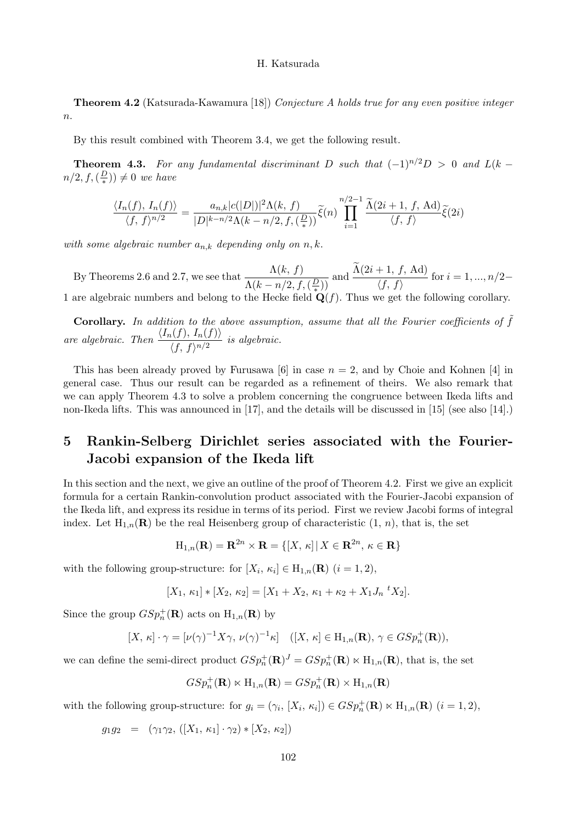**Theorem 4.2** (Katsurada-Kawamura [18]) Conjecture A holds true for any even positive integer  $n$ .

By this result combined with Theorem 3.4, we get the following result.

**Theorem 4.3.** For any fundamental discriminant D such that  $(-1)^{n/2}D > 0$  and  $L(k - 1)$  $n/2, f, (\frac{D}{\ast})$  $(\frac{\omega}{\ast})) \neq 0$  we have

$$
\frac{\langle I_n(f), I_n(f) \rangle}{\langle f, f \rangle^{n/2}} = \frac{a_{n,k}|c(|D|)|^2 \Lambda(k, f)}{|D|^{k-n/2} \Lambda(k - n/2, f, \left(\frac{D}{*}\right))} \widetilde{\xi}(n) \prod_{i=1}^{n/2-1} \frac{\widetilde{\Lambda}(2i+1, f, \text{Ad})}{\langle f, f \rangle} \widetilde{\xi}(2i)
$$

with some algebraic number  $a_{n,k}$  depending only on  $n, k$ .

By Theorems 2.6 and 2.7, we see that  $\frac{\Lambda(k, f)}{\Lambda(k, f)}$  $\frac{\Lambda(k, f)}{\Lambda(k - n/2, f, (\frac{D}{\ast}))}$  and  $\frac{\Lambda(2i + 1, f, \text{Ad})}{\langle f, f \rangle}$ 1 are algebraic numbers and belong to the Hecke field  $\mathbf{Q}(f)$ . Thus we get the following corollary.  $\frac{f(x, y, 1, 1)}{\langle f, f \rangle}$  for  $i = 1, ..., n/2-$ 

**Corollary.** In addition to the above assumption, assume that all the Fourier coefficients of  $\tilde{f}$ are algebraic. Then  $\frac{\langle I_n(f), I_n(f) \rangle}{\langle f, g \rangle}$  $\frac{\lambda(\mathcal{J})\cdot\mathcal{J}(\mathcal{J})\cdot\mathcal{J}}{\langle f, f \rangle^{n/2}}$  is algebraic.

This has been already proved by Furusawa [6] in case  $n = 2$ , and by Choie and Kohnen [4] in general case. Thus our result can be regarded as a refinement of theirs. We also remark that we can apply Theorem 4.3 to solve a problem concerning the congruence between Ikeda lifts and non-Ikeda lifts. This was announced in [17], and the details will be discussed in [15] (see also [14].)

# 5 Rankin-Selberg Dirichlet series associated with the Fourier-Jacobi expansion of the Ikeda lift

In this section and the next, we give an outline of the proof of Theorem 4.2. First we give an explicit formula for a certain Rankin-convolution product associated with the Fourier-Jacobi expansion of the Ikeda lift, and express its residue in terms of its period. First we review Jacobi forms of integral index. Let  $H_{1,n}(\mathbf{R})$  be the real Heisenberg group of characteristic  $(1, n)$ , that is, the set

$$
H_{1,n}(\mathbf{R}) = \mathbf{R}^{2n} \times \mathbf{R} = \{ [X, \kappa] \, | \, X \in \mathbf{R}^{2n}, \, \kappa \in \mathbf{R} \}
$$

with the following group-structure: for  $[X_i, \kappa_i] \in H_{1,n}(\mathbf{R})$   $(i = 1, 2)$ ,

$$
[X_1, \kappa_1] * [X_2, \kappa_2] = [X_1 + X_2, \kappa_1 + \kappa_2 + X_1 J_n \,^t X_2].
$$

Since the group  $GSp_n^+(\mathbf{R})$  acts on  $H_{1,n}(\mathbf{R})$  by

$$
[X,\kappa]\cdot\gamma=[\nu(\gamma)^{-1}X\gamma,\nu(\gamma)^{-1}\kappa]\quad ([X,\kappa]\in\mathrm{H}_{1,n}(\mathbf{R}),\,\gamma\in GSp_n^+(\mathbf{R})),
$$

we can define the semi-direct product  $GSp_n^+(\mathbf{R})^J = GSp_n^+(\mathbf{R}) \ltimes H_{1,n}(\mathbf{R})$ , that is, the set

$$
GSp_n^+(\mathbf{R}) \ltimes H_{1,n}(\mathbf{R}) = GSp_n^+(\mathbf{R}) \times H_{1,n}(\mathbf{R})
$$

with the following group-structure: for  $g_i = (\gamma_i, [X_i, \kappa_i]) \in GSp_n^+(\mathbf{R}) \ltimes H_{1,n}(\mathbf{R})$   $(i = 1, 2)$ ,

 $g_1g_2 = (\gamma_1\gamma_2, ([X_1, \kappa_1]\cdot\gamma_2) * [X_2, \kappa_2])$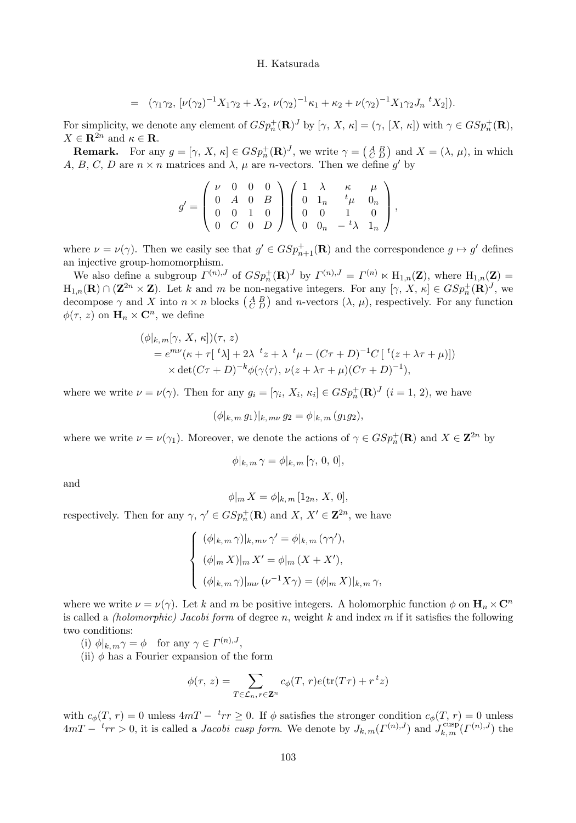$$
= (\gamma_1 \gamma_2, \left[ \nu (\gamma_2)^{-1} X_1 \gamma_2 + X_2, \nu (\gamma_2)^{-1} \kappa_1 + \kappa_2 + \nu (\gamma_2)^{-1} X_1 \gamma_2 J_n \right]^t X_2]).
$$

For simplicity, we denote any element of  $GSp_n^+(\mathbf{R})^J$  by  $[\gamma, X, \kappa] = (\gamma, [X, \kappa])$  with  $\gamma \in GSp_n^+(\mathbf{R})$ ,  $X \in \mathbf{R}^{2n}$  and  $\kappa \in \mathbf{R}$ .

**Remark.** For any  $g = [\gamma, X, \kappa] \in GSp_n^+(\mathbf{R})^J$ , we write  $\gamma = \begin{pmatrix} A & B \\ C & D \end{pmatrix}$  and  $X = (\lambda, \mu)$ , in which A, B, C, D are  $n \times n$  matrices and  $\lambda$ ,  $\mu$  are *n*-vectors. Then we define g' by

$$
g'=\left(\begin{array}{cccc} \nu & 0 & 0 & 0 \\ 0 & A & 0 & B \\ 0 & 0 & 1 & 0 \\ 0 & C & 0 & D \end{array}\right)\left(\begin{array}{cccc} 1 & \lambda & \kappa & \mu \\ 0 & 1_n & ^t\mu & 0_n \\ 0 & 0 & 1 & 0 \\ 0 & 0_n & -\,t\lambda & 1_n \end{array}\right),
$$

where  $\nu = \nu(\gamma)$ . Then we easily see that  $g' \in GSp_{n+1}^+(\mathbf{R})$  and the correspondence  $g \mapsto g'$  defines an injective group-homomorphism.

We also define a subgroup  $\Gamma^{(n),J}$  of  $GSp_n^+(\mathbf{R})^J$  by  $\Gamma^{(n),J} = \Gamma^{(n)} \ltimes H_{1,n}(\mathbf{Z})$ , where  $H_{1,n}(\mathbf{Z}) =$  $H_{1,n}(\mathbf{R}) \cap (\mathbf{Z}^{2n} \times \mathbf{Z})$ . Let k and m be non-negative integers. For any  $[\gamma, X, \kappa] \in GSp_n^+(\mathbf{R})^J$ , we decompose  $\gamma$  and X into  $n \times n$  blocks  $\left(\begin{smallmatrix} A & B \\ C & D \end{smallmatrix}\right)$  and n-vectors  $(\lambda, \mu)$ , respectively. For any function  $\phi(\tau, z)$  on  $\mathbf{H}_n \times \mathbf{C}^n$ , we define

$$
\begin{aligned} (\phi|_{k,m}[\gamma, X, \kappa])(\tau, z) \\ &= e^{m\nu}(\kappa + \tau[ \ {}^t\lambda] + 2\lambda \ {}^t z + \lambda \ {}^t\mu - (C\tau + D)^{-1}C \left[ \ {}^t(z + \lambda \tau + \mu) \right]) \\ &\times \det(C\tau + D)^{-k} \phi(\gamma\langle \tau \rangle, \nu(z + \lambda \tau + \mu)(C\tau + D)^{-1}), \end{aligned}
$$

where we write  $\nu = \nu(\gamma)$ . Then for any  $g_i = [\gamma_i, X_i, \kappa_i] \in GSp_n^+(\mathbf{R})^J$   $(i = 1, 2)$ , we have

$$
(\phi|_{k,m} g_1)|_{k,m\nu} g_2 = \phi|_{k,m} (g_1 g_2),
$$

where we write  $\nu = \nu(\gamma_1)$ . Moreover, we denote the actions of  $\gamma \in GSp_n^+(\mathbf{R})$  and  $X \in \mathbf{Z}^{2n}$  by

$$
\phi|_{k,m} \gamma = \phi|_{k,m} [\gamma, 0, 0],
$$

and

$$
\phi|_{m} X = \phi|_{k,m} [1_{2n}, X, 0],
$$

respectively. Then for any  $\gamma$ ,  $\gamma' \in GSp_n^+(\mathbf{R})$  and  $X, X' \in \mathbf{Z}^{2n}$ , we have

$$
\begin{cases} (\phi|_{k,m} \gamma)|_{k,m\nu} \gamma' = \phi|_{k,m} (\gamma \gamma'), \\ (\phi|_m X)|_m X' = \phi|_m (X + X'), \\ (\phi|_{k,m} \gamma)|_{m\nu} (\nu^{-1} X \gamma) = (\phi|_m X)|_{k,m} \gamma, \end{cases}
$$

where we write  $\nu = \nu(\gamma)$ . Let k and m be positive integers. A holomorphic function  $\phi$  on  $\mathbf{H}_n \times \mathbf{C}^n$ is called a *(holomorphic) Jacobi form* of degree n, weight k and index m if it satisfies the following two conditions:

(i)  $\phi|_{k,m}\gamma = \phi$  for any  $\gamma \in \Gamma^{(n),J}$ ,

(ii)  $\phi$  has a Fourier expansion of the form

$$
\phi(\tau, z) = \sum_{T \in \mathcal{L}_n, r \in \mathbf{Z}^n} c_{\phi}(T, r) e(\text{tr}(T\tau) + r^t z)
$$

with  $c_{\phi}(T, r) = 0$  unless  $4mT - {^t}rr \geq 0$ . If  $\phi$  satisfies the stronger condition  $c_{\phi}(T, r) = 0$  unless  $4mT - \frac{t_{rr}}{k_{\rm m}} > 0$ , it is called a *Jacobi cusp form*. We denote by  $J_{k,m}(\Gamma^{(n),J})$  and  $J_{k,m}^{\text{cusp}}(\Gamma^{(n),J})$  the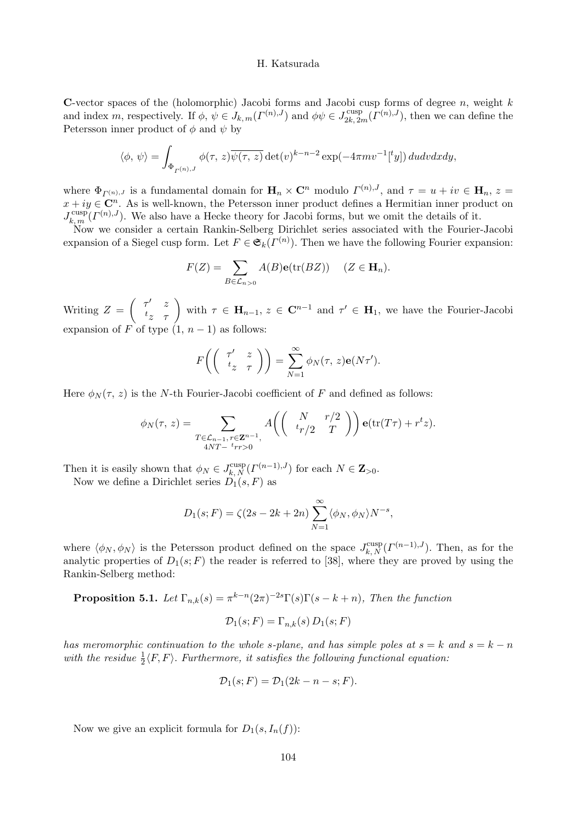C-vector spaces of the (holomorphic) Jacobi forms and Jacobi cusp forms of degree  $n$ , weight  $k$ and index m, respectively. If  $\phi, \psi \in J_{k,m}(\Gamma^{(n),J})$  and  $\phi \psi \in J_{2k,2m}^{\text{cusp}}(\Gamma^{(n),J})$ , then we can define the Petersson inner product of  $\phi$  and  $\psi$  by

$$
\langle \phi, \, \psi \rangle = \int_{\Phi_{\Gamma^{(n),J}}} \phi(\tau, \, z) \overline{\psi(\tau, \, z)} \det(v)^{k-n-2} \exp(-4\pi m v^{-1} [{}^t y]) \, du dv dx dy,
$$

where  $\Phi_{\Gamma^{(n),J}}$  is a fundamental domain for  $\mathbf{H}_n \times \mathbf{C}^n$  modulo  $\Gamma^{(n),J}$ , and  $\tau = u + iv \in \mathbf{H}_n$ ,  $z =$  $x + iy \in \mathbb{C}^n$ . As is well-known, the Petersson inner product defines a Hermitian inner product on  $J_{k,m}^{\text{cusp}}(I^{(n),J})$ . We also have a Hecke theory for Jacobi forms, but we omit the details of it.

Now we consider a certain Rankin-Selberg Dirichlet series associated with the Fourier-Jacobi expansion of a Siegel cusp form. Let  $F \in \mathfrak{S}_k(\Gamma^{(n)})$ . Then we have the following Fourier expansion:

$$
F(Z) = \sum_{B \in \mathcal{L}_{n>0}} A(B) \mathbf{e}(\text{tr}(BZ)) \quad (Z \in \mathbf{H}_n).
$$

Writing  $Z =$  $\begin{pmatrix} \tau' & z \\ t_z & \tau \end{pmatrix}$  with  $\tau \in \mathbf{H}_{n-1}, z \in \mathbf{C}^{n-1}$  and  $\tau' \in \mathbf{H}_1$ , we have the Fourier-Jacobi expansion of F of type  $(1, n-1)$  as follows:

$$
F\bigg(\left(\begin{array}{cc} \tau' & z \\ t_z & \tau \end{array}\right)\bigg) = \sum_{N=1}^{\infty} \phi_N(\tau, z) \mathbf{e}(N\tau').
$$

Here  $\phi_N(\tau, z)$  is the N-th Fourier-Jacobi coefficient of F and defined as follows:

$$
\phi_N(\tau, z) = \sum_{\substack{T \in \mathcal{L}_{n-1}, r \in \mathbf{Z}^{n-1}, \\ 4NT - \, tr \geq 0}} A\left( \begin{pmatrix} N & r/2 \\ t_r/2 & T \end{pmatrix} \right) \mathbf{e}(\text{tr}(T\tau) + r^t z).
$$

Then it is easily shown that  $\phi_N \in J_{k,N}^{\text{cusp}}(\Gamma^{(n-1),J})$  for each  $N \in \mathbb{Z}_{>0}$ .

Now we define a Dirichlet series  $D_1(s, F)$  as

$$
D_1(s;F) = \zeta(2s - 2k + 2n) \sum_{N=1}^{\infty} \langle \phi_N, \phi_N \rangle N^{-s},
$$

where  $\langle \phi_N, \phi_N \rangle$  is the Petersson product defined on the space  $J_{k,N}^{\text{cusp}}(\Gamma^{(n-1),J})$ . Then, as for the analytic properties of  $D_1(s; F)$  the reader is referred to [38], where they are proved by using the Rankin-Selberg method:

**Proposition 5.1.** Let  $\Gamma_{n,k}(s) = \pi^{k-n}(2\pi)^{-2s}\Gamma(s)\Gamma(s-k+n)$ , Then the function  $\mathcal{D}_1(s; F) = \Gamma_{-1}(s) D_1(s; F)$ 

$$
D_1(s, r) - \mathbf{1}_{n,k}(s) D_1(s, r)
$$

has meromorphic continuation to the whole s-plane, and has simple poles at  $s = k$  and  $s = k - n$ with the residue  $\frac{1}{2}\langle F, F \rangle$ . Furthermore, it satisfies the following functional equation:

$$
\mathcal{D}_1(s;F) = \mathcal{D}_1(2k - n - s;F).
$$

Now we give an explicit formula for  $D_1(s, I_n(f))$ :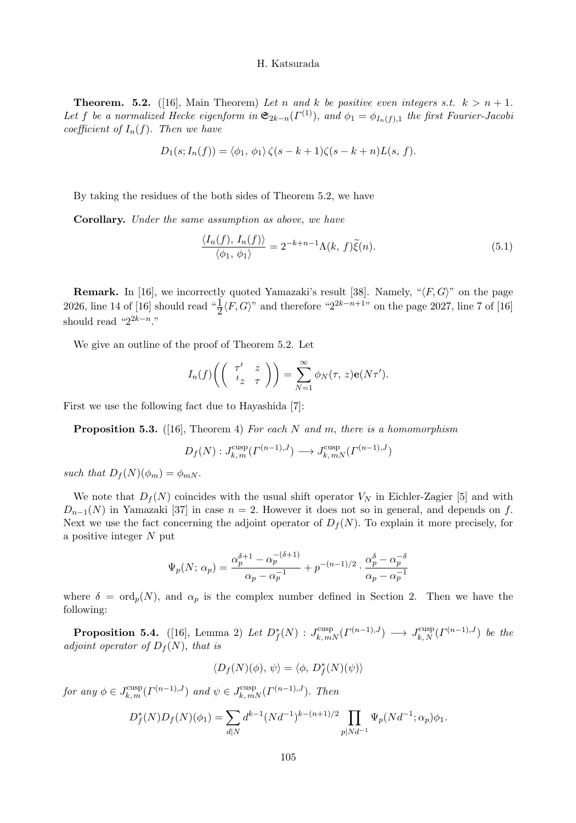**Theorem.** 5.2. ([16], Main Theorem) Let n and k be positive even integers s.t.  $k > n + 1$ . Let f be a normalized Hecke eigenform in  $\mathfrak{S}_{2k-n}(\Gamma^{(1)})$ , and  $\phi_1 = \phi_{I_n(f),1}$  the first Fourier-Jacobi coefficient of  $I_n(f)$ . Then we have

$$
D_1(s; I_n(f)) = \langle \phi_1, \phi_1 \rangle \zeta(s-k+1)\zeta(s-k+n)L(s, f).
$$

By taking the residues of the both sides of Theorem 5.2, we have

Corollary. Under the same assumption as above, we have

$$
\frac{\langle I_n(f), I_n(f) \rangle}{\langle \phi_1, \phi_1 \rangle} = 2^{-k+n-1} \Lambda(k, f) \tilde{\xi}(n). \tag{5.1}
$$

**Remark.** In [16], we incorrectly quoted Yamazaki's result [38]. Namely, " $\langle F, G \rangle$ " on the page 2026, line 14 of [16] should read " $\frac{1}{2} \langle F, G \rangle$ " and therefore "2<sup>2k-n+1</sup>" on the page 2027, line 7 of [16] should read " $2^{2k-n}$ ."

We give an outline of the proof of Theorem 5.2. Let

$$
I_n(f)\left(\begin{pmatrix} \tau' & z \\ t_z & \tau \end{pmatrix}\right) = \sum_{N=1}^{\infty} \phi_N(\tau, z) \mathbf{e}(N\tau').
$$

First we use the following fact due to Hayashida [7]:

**Proposition 5.3.** ([16], Theorem 4) For each N and m, there is a homomorphism

$$
D_f(N) : J_{k,m}^{\text{cusp}}(\Gamma^{(n-1),J}) \longrightarrow J_{k,mN}^{\text{cusp}}(\Gamma^{(n-1),J})
$$

such that  $D_f(N)(\phi_m) = \phi_{mN}$ .

We note that  $D_f(N)$  coincides with the usual shift operator  $V_N$  in Eichler-Zagier [5] and with  $D_{n-1}(N)$  in Yamazaki [37] in case  $n = 2$ . However it does not so in general, and depends on f. Next we use the fact concerning the adjoint operator of  $D_f(N)$ . To explain it more precisely, for a positive integer  $N$  put

$$
\Psi_p(N; \alpha_p) = \frac{\alpha_p^{\delta+1} - \alpha_p^{-(\delta+1)}}{\alpha_p - \alpha_p^{-1}} + p^{-(n-1)/2} \cdot \frac{\alpha_p^{\delta} - \alpha_p^{-\delta}}{\alpha_p - \alpha_p^{-1}}
$$

where  $\delta = \text{ord}_p(N)$ , and  $\alpha_p$  is the complex number defined in Section 2. Then we have the following:

**Proposition 5.4.** ([16], Lemma 2) Let  $D_f^*(N)$  :  $J_{k,mN}^{\text{cusp}}(\Gamma^{(n-1),J}) \longrightarrow J_{k,N}^{\text{cusp}}(\Gamma^{(n-1),J})$  be the adjoint operator of  $D_f(N)$ , that is

$$
\langle D_f(N)(\phi), \psi \rangle = \langle \phi, D_f^*(N)(\psi) \rangle
$$

for any  $\phi \in J_{k,m}^{\text{cusp}}(F^{(n-1),J})$  and  $\psi \in J_{k,mN}^{\text{cusp}}(F^{(n-1),J})$ . Then

$$
D_f^*(N)D_f(N)(\phi_1) = \sum_{d|N} d^{k-1} (Nd^{-1})^{k-(n+1)/2} \prod_{p|Nd^{-1}} \Psi_p(Nd^{-1}; \alpha_p)\phi_1.
$$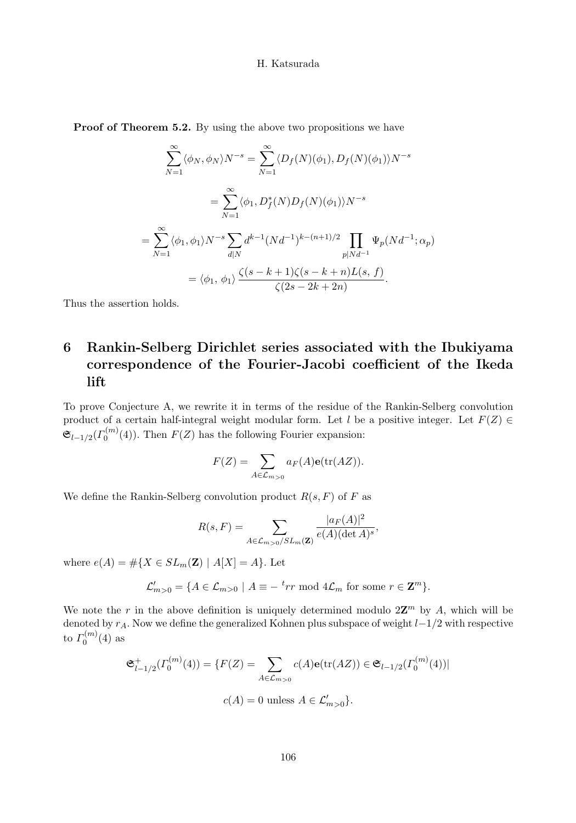Proof of Theorem 5.2. By using the above two propositions we have

$$
\sum_{N=1}^{\infty} \langle \phi_N, \phi_N \rangle N^{-s} = \sum_{N=1}^{\infty} \langle D_f(N)(\phi_1), D_f(N)(\phi_1) \rangle N^{-s}
$$

$$
= \sum_{N=1}^{\infty} \langle \phi_1, D_f^*(N)D_f(N)(\phi_1) \rangle N^{-s}
$$

$$
= \sum_{N=1}^{\infty} \langle \phi_1, \phi_1 \rangle N^{-s} \sum_{d|N} d^{k-1} (Nd^{-1})^{k-(n+1)/2} \prod_{p|Nd^{-1}} \Psi_p(Nd^{-1}; \alpha_p)
$$

$$
= \langle \phi_1, \phi_1 \rangle \frac{\zeta(s-k+1)\zeta(s-k+n)L(s, f)}{\zeta(2s-2k+2n)}.
$$

Thus the assertion holds.

# 6 Rankin-Selberg Dirichlet series associated with the Ibukiyama correspondence of the Fourier-Jacobi coefficient of the Ikeda lift

To prove Conjecture A, we rewrite it in terms of the residue of the Rankin-Selberg convolution product of a certain half-integral weight modular form. Let l be a positive integer. Let  $F(Z) \in$  $\mathfrak{S}_{l-1/2}(\Gamma_0^{(m)}(4))$ . Then  $F(Z)$  has the following Fourier expansion:

$$
F(Z) = \sum_{A \in \mathcal{L}_{m>0}} a_F(A) \mathbf{e}(\text{tr}(AZ)).
$$

We define the Rankin-Selberg convolution product  $R(s, F)$  of F as

$$
R(s, F) = \sum_{A \in \mathcal{L}_{m>0}/SL_m(\mathbf{Z})} \frac{|a_F(A)|^2}{e(A)(\det A)^s},
$$

where  $e(A) = \# \{ X \in SL_m(\mathbf{Z}) \mid A[X] = A \}.$  Let

$$
\mathcal{L}'_{m>0} = \{ A \in \mathcal{L}_{m>0} \mid A \equiv -\,^t r r \bmod 4 \mathcal{L}_m \text{ for some } r \in \mathbf{Z}^m \}.
$$

We note the r in the above definition is uniquely determined modulo  $2\mathbb{Z}^m$  by A, which will be denoted by rA. Now we define the generalized Kohnen plus subspace of weight l−1/2 with respective to  $\varGamma_0^{(m)}(4)$  as

$$
\mathfrak{S}_{l-1/2}^{+}(\Gamma_{0}^{(m)}(4)) = \{ F(Z) = \sum_{A \in \mathcal{L}_{m>0}} c(A) \mathbf{e}(\text{tr}(AZ)) \in \mathfrak{S}_{l-1/2}(\Gamma_{0}^{(m)}(4)) |
$$
  

$$
c(A) = 0 \text{ unless } A \in \mathcal{L}'_{m>0} \}.
$$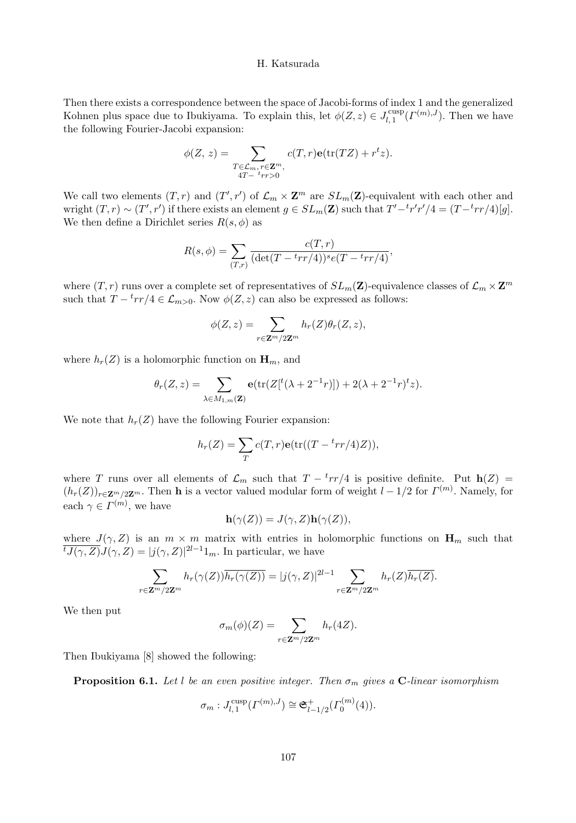Then there exists a correspondence between the space of Jacobi-forms of index 1 and the generalized Kohnen plus space due to Ibukiyama. To explain this, let  $\phi(Z, z) \in J_{l, 1}^{\text{cusp}}(\Gamma^{(m), J})$ . Then we have the following Fourier-Jacobi expansion:

$$
\phi(Z, z) = \sum_{\substack{T \in \mathcal{L}_m, r \in \mathbf{Z}^m, \\ 4T - \iota r r > 0}} c(T, r) \mathbf{e}(\text{tr}(TZ) + r^t z).
$$

We call two elements  $(T, r)$  and  $(T', r')$  of  $\mathcal{L}_m \times \mathbf{Z}^m$  are  $SL_m(\mathbf{Z})$ -equivalent with each other and wright  $(T, r) \sim (T', r')$  if there exists an element  $g \in SL_m(\mathbf{Z})$  such that  $T' - {^t}r'r'/4 = (T - {^t}rr/4)[g]$ . We then define a Dirichlet series  $R(s, \phi)$  as

$$
R(s,\phi) = \sum_{(T,r)} \frac{c(T,r)}{(\det(T - {^{t}rr/4}))^{s}e(T - {^{t}rr/4})},
$$

where  $(T, r)$  runs over a complete set of representatives of  $SL_m(\mathbf{Z})$ -equivalence classes of  $\mathcal{L}_m \times \mathbf{Z}^m$ such that  $T - \frac{t}{T}$   $\neq$   $\mathcal{L}_{m>0}$ . Now  $\phi(Z, z)$  can also be expressed as follows:

$$
\phi(Z,z) = \sum_{r \in \mathbf{Z}^m/2\mathbf{Z}^m} h_r(Z)\theta_r(Z,z),
$$

where  $h_r(Z)$  is a holomorphic function on  $\mathbf{H}_m$ , and

$$
\theta_r(Z,z) = \sum_{\lambda \in M_{1,m}(\mathbf{Z})} \mathbf{e}(\text{tr}(Z[^t(\lambda + 2^{-1}r)]) + 2(\lambda + 2^{-1}r)^t z).
$$

We note that  $h_r(Z)$  have the following Fourier expansion:

$$
h_r(Z) = \sum_T c(T,r) \mathbf{e}(\text{tr}((T - \frac{t_{rr}}{4})Z)),
$$

where T runs over all elements of  $\mathcal{L}_m$  such that  $T - \frac{t_{rr}}{4}$  is positive definite. Put  $h(Z)$  $(h_r(Z))_{r\in \mathbf{Z}_r^m/2\mathbf{Z}^m}$ . Then **h** is a vector valued modular form of weight  $l-1/2$  for  $\Gamma^{(m)}$ . Namely, for each  $\gamma \in \Gamma^{(m)}$ , we have

$$
\mathbf{h}(\gamma(Z)) = J(\gamma, Z)\mathbf{h}(\gamma(Z)),
$$

where  $J(\gamma, Z)$  is an  $m \times m$  matrix with entries in holomorphic functions on  $\mathbf{H}_m$  such that  $\overline{tJ(\gamma,Z)}J(\gamma,Z) = |j(\gamma,Z)|^{2l-1}1_m$ . In particular, we have

$$
\sum_{r \in \mathbf{Z}^m/2\mathbf{Z}^m} h_r(\gamma(Z)) \overline{h_r(\gamma(Z))} = |j(\gamma, Z)|^{2l-1} \sum_{r \in \mathbf{Z}^m/2\mathbf{Z}^m} h_r(Z) \overline{h_r(Z)}.
$$

We then put

$$
\sigma_m(\phi)(Z) = \sum_{r \in \mathbf{Z}^m/2\mathbf{Z}^m} h_r(4Z).
$$

Then Ibukiyama [8] showed the following:

**Proposition 6.1.** Let l be an even positive integer. Then  $\sigma_m$  gives a C-linear isomorphism

$$
\sigma_m: J_{l,1}^{\text{cusp}}(\Gamma^{(m),J}) \cong \mathfrak{S}_{l-1/2}^+(\Gamma^{(m)}_0(4)).
$$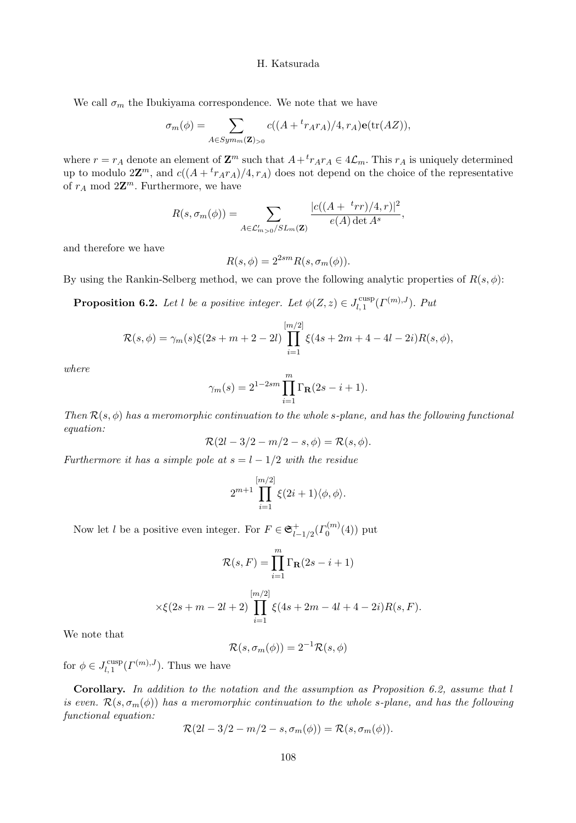We call  $\sigma_m$  the Ibukiyama correspondence. We note that we have

$$
\sigma_m(\phi) = \sum_{A \in Sym_m(\mathbf{Z})_{>0}} c((A + {}^t r_A r_A)/4, r_A) \mathbf{e}(\text{tr}(AZ)),
$$

where  $r = r_A$  denote an element of  $\mathbf{Z}^m$  such that  $A + r_A r_A \in 4\mathcal{L}_m$ . This  $r_A$  is uniquely determined up to modulo  $2\mathbb{Z}^m$ , and  $c((A + {}^{t}r_{A}r_{A})/4, r_{A})$  does not depend on the choice of the representative of  $r_A \mod 2\mathbb{Z}^m$ . Furthermore, we have

$$
R(s, \sigma_m(\phi)) = \sum_{A \in \mathcal{L}'_{m>0}/SL_m(\mathbf{Z})} \frac{|c((A + {}^{t}rr)/4, r)|^2}{e(A) \det A^s},
$$

and therefore we have

$$
R(s, \phi) = 2^{2sm} R(s, \sigma_m(\phi)).
$$

By using the Rankin-Selberg method, we can prove the following analytic properties of  $R(s, \phi)$ :

**Proposition 6.2.** Let l be a positive integer. Let  $\phi(Z, z) \in J_{l, 1}^{\text{cusp}}(\Gamma^{(m), J})$ . Put

$$
\mathcal{R}(s,\phi) = \gamma_m(s)\xi(2s+m+2-2l)\prod_{i=1}^{[m/2]} \xi(4s+2m+4-4l-2i)R(s,\phi),
$$

where

$$
\gamma_m(s) = 2^{1-2sm} \prod_{i=1}^m \Gamma_{\mathbf{R}}(2s - i + 1).
$$

Then  $\mathcal{R}(s, \phi)$  has a meromorphic continuation to the whole s-plane, and has the following functional equation:

$$
\mathcal{R}(2l - 3/2 - m/2 - s, \phi) = \mathcal{R}(s, \phi).
$$

Furthermore it has a simple pole at  $s = l - 1/2$  with the residue

$$
2^{m+1} \prod_{i=1}^{[m/2]} \xi(2i+1) \langle \phi, \phi \rangle.
$$

Now let *l* be a positive even integer. For  $F \in \mathfrak{S}_{l-1/2}^+(I_0^{(m)}(4))$  put

$$
\mathcal{R}(s, F) = \prod_{i=1}^{m} \Gamma_{\mathbf{R}}(2s - i + 1)
$$

$$
\times \xi(2s+m-2l+2)\prod_{i=1}^{[m/2]} \xi(4s+2m-4l+4-2i)R(s,F).
$$

We note that

$$
\mathcal{R}(s, \sigma_m(\phi)) = 2^{-1} \mathcal{R}(s, \phi)
$$

for  $\phi \in J_{l,1}^{\text{cusp}}( \Gamma^{(m),J}).$  Thus we have

Corollary. In addition to the notation and the assumption as Proposition 6.2, assume that l is even.  $\mathcal{R}(s, \sigma_m(\phi))$  has a meromorphic continuation to the whole s-plane, and has the following functional equation:

$$
\mathcal{R}(2l-3/2-m/2-s,\sigma_m(\phi))=\mathcal{R}(s,\sigma_m(\phi)).
$$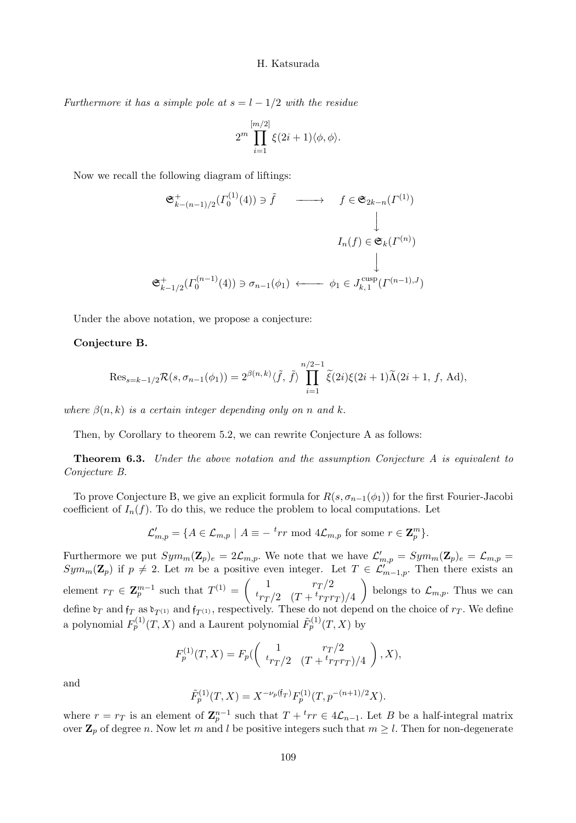Furthermore it has a simple pole at  $s = l - 1/2$  with the residue

$$
2^m\prod_{i=1}^{[m/2]}\xi(2i+1)\langle\phi,\phi\rangle.
$$

Now we recall the following diagram of liftings:

$$
\begin{array}{ccc}\n\mathfrak{S}_{k-(n-1)/2}^{+}(I_{0}^{(1)}(4)) \ni \tilde{f} & \longrightarrow & f \in \mathfrak{S}_{2k-n}(I^{(1)}) \\
& & \downarrow & \\
I_{n}(f) \in \mathfrak{S}_{k}(I^{(n)}) & \\
& & \downarrow & \\
\mathfrak{S}_{k-1/2}^{+}(I_{0}^{(n-1)}(4)) \ni \sigma_{n-1}(\phi_{1}) & \longleftarrow & \phi_{1} \in J_{k,1}^{\text{cusp}}(I^{(n-1),J})\n\end{array}
$$

Under the above notation, we propose a conjecture:

#### Conjecture B.

$$
\operatorname{Res}_{s=k-1/2} \mathcal{R}(s, \sigma_{n-1}(\phi_1)) = 2^{\beta(n,k)} \langle \tilde{f}, \tilde{f} \rangle \prod_{i=1}^{n/2-1} \tilde{\xi}(2i)\xi(2i+1)\tilde{\Lambda}(2i+1, f, \text{Ad}),
$$

where  $\beta(n, k)$  is a certain integer depending only on n and k.

Then, by Corollary to theorem 5.2, we can rewrite Conjecture A as follows:

**Theorem 6.3.** Under the above notation and the assumption Conjecture A is equivalent to Conjecture B.

To prove Conjecture B, we give an explicit formula for  $R(s, \sigma_{n-1}(\phi_1))$  for the first Fourier-Jacobi coefficient of  $I_n(f)$ . To do this, we reduce the problem to local computations. Let

$$
\mathcal{L}'_{m,p} = \{ A \in \mathcal{L}_{m,p} \mid A \equiv -\, \text{tr} \bmod 4 \mathcal{L}_{m,p} \text{ for some } r \in \mathbf{Z}_p^m \}.
$$

Furthermore we put  $Sym_m(\mathbf{Z}_p)_e = 2\mathcal{L}_{m,p}$ . We note that we have  $\mathcal{L}'_{m,p} = Sym_m(\mathbf{Z}_p)_e = \mathcal{L}_{m,p}$  $Sym_m(\mathbf{Z}_p)$  if  $p \neq 2$ . Let m be a positive even integer. Let  $T \in \mathcal{L}'_{m-1,p}$ . Then there exists an element  $r_T \in \mathbf{Z}_p^{m-1}$  such that  $T^{(1)} = \begin{pmatrix} 1 & r_T/2 \\ t_{r_T/2} & (T + t_{r_T/2}) \end{pmatrix}$  $t_{rT}/2 \quad (T + t_{rTT})/4$  $\setminus$ belongs to  $\mathcal{L}_{m,p}$ . Thus we can define  $\mathfrak{d}_T$  and  $\mathfrak{f}_T$  as  $\mathfrak{d}_{T(1)}$  and  $\mathfrak{f}_{T(1)}$ , respectively. These do not depend on the choice of  $r_T$ . We define a polynomial  $F_p^{(1)}(T, X)$  and a Laurent polynomial  $\tilde{F}_p^{(1)}(T, X)$  by

$$
F_p^{(1)}(T, X) = F_p(\begin{pmatrix} 1 & r_T/2 \\ t_{rT}/2 & (T + \frac{t_{rT}}{r_T})/4 \end{pmatrix}, X),
$$

and

$$
\tilde{F}_p^{(1)}(T,X)=X^{-\nu_p(\mathfrak{f}_T)}F_p^{(1)}(T,p^{-(n+1)/2}X).
$$

where  $r = r_T$  is an element of  $\mathbb{Z}_p^{n-1}$  such that  $T + \nvert r \in 4\mathcal{L}_{n-1}$ . Let B be a half-integral matrix over  $\mathbb{Z}_p$  of degree n. Now let m and l be positive integers such that  $m \geq l$ . Then for non-degenerate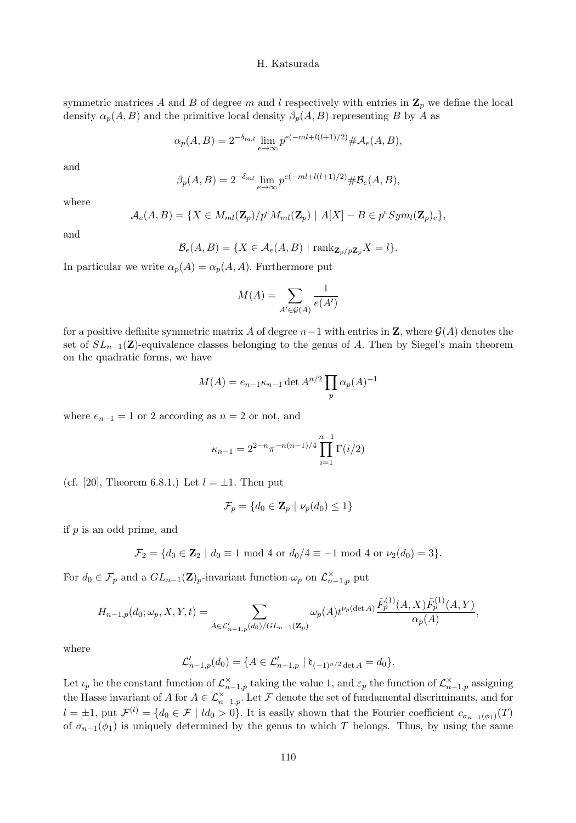symmetric matrices A and B of degree m and l respectively with entries in  $\mathbf{Z}_p$  we define the local density  $\alpha_p(A, B)$  and the primitive local density  $\beta_p(A, B)$  representing B by A as

$$
\alpha_p(A, B) = 2^{-\delta_{m,l}} \lim_{e \to \infty} p^{e(-ml + l(l+1)/2)} \# \mathcal{A}_e(A, B),
$$

and

$$
\beta_p(A, B) = 2^{-\delta_{ml}} \lim_{e \to \infty} p^{e(-ml + l(l+1)/2)} \# \mathcal{B}_e(A, B),
$$

where

$$
\mathcal{A}_{e}(A,B)=\{X\in M_{ml}(\mathbf{Z}_p)/p^{e}M_{ml}(\mathbf{Z}_p)\mid A[X]-B\in p^{e}Sym_l(\mathbf{Z}_p)_{e}\},\
$$

and

$$
\mathcal{B}_e(A, B) = \{ X \in \mathcal{A}_e(A, B) \mid \text{rank}_{\mathbf{Z}_p/p\mathbf{Z}_p} X = l \}.
$$

In particular we write  $\alpha_p(A) = \alpha_p(A, A)$ . Furthermore put

$$
M(A) = \sum_{A' \in \mathcal{G}(A)} \frac{1}{e(A')}
$$

for a positive definite symmetric matrix A of degree  $n-1$  with entries in **Z**, where  $\mathcal{G}(A)$  denotes the set of  $SL_{n-1}(\mathbf{Z})$ -equivalence classes belonging to the genus of A. Then by Siegel's main theorem on the quadratic forms, we have

$$
M(A) = e_{n-1} \kappa_{n-1} \det A^{n/2} \prod_p \alpha_p(A)^{-1}
$$

where  $e_{n-1} = 1$  or 2 according as  $n = 2$  or not, and

$$
\kappa_{n-1} = 2^{2-n} \pi^{-n(n-1)/4} \prod_{i=1}^{n-1} \Gamma(i/2)
$$

(cf. [20], Theorem 6.8.1.) Let  $l = \pm 1$ . Then put

$$
\mathcal{F}_p = \{d_0 \in \mathbf{Z}_p \mid \nu_p(d_0) \le 1\}
$$

if  $p$  is an odd prime, and

$$
\mathcal{F}_2 = \{ d_0 \in \mathbf{Z}_2 \mid d_0 \equiv 1 \bmod 4 \text{ or } d_0/4 \equiv -1 \bmod 4 \text{ or } \nu_2(d_0) = 3 \}.
$$

For  $d_0 \in \mathcal{F}_p$  and a  $GL_{n-1}(\mathbf{Z})_p$ -invariant function  $\omega_p$  on  $\mathcal{L}_{n-1,p}^{\times}$  put

$$
H_{n-1,p}(d_0; \omega_p, X, Y, t) = \sum_{A \in \mathcal{L}'_{n-1,p}(d_0)/GL_{n-1}(\mathbf{Z}_p)} \omega_p(A) t^{\nu_p(\det A)} \frac{\tilde{F}_p^{(1)}(A, X) \tilde{F}_p^{(1)}(A, Y)}{\alpha_p(A)},
$$

where

$$
\mathcal{L}'_{n-1,p}(d_0) = \{ A \in \mathcal{L}'_{n-1,p} \mid \mathfrak{d}_{(-1)^{n/2} \det A} = d_0 \}.
$$

Let  $\iota_p$  be the constant function of  $\mathcal{L}_{n-1,p}^{\times}$  taking the value 1, and  $\varepsilon_p$  the function of  $\mathcal{L}_{n-1,p}^{\times}$  assigning the Hasse invariant of A for  $A \in \mathcal{L}_{n-1,p}^{\times}$ . Let F denote the set of fundamental discriminants, and for  $l = \pm 1$ , put  $\mathcal{F}^{(l)} = \{d_0 \in \mathcal{F} \mid ld_0 > 0\}$ . It is easily shown that the Fourier coefficient  $c_{\sigma_{n-1}(\phi_1)}(T)$ of  $\sigma_{n-1}(\phi_1)$  is uniquely determined by the genus to which T belongs. Thus, by using the same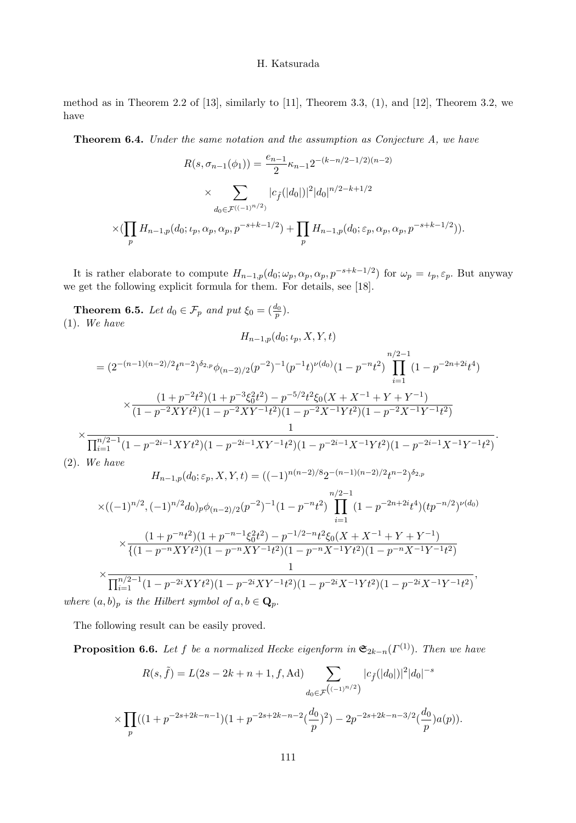method as in Theorem 2.2 of  $[13]$ , similarly to  $[11]$ , Theorem 3.3,  $(1)$ , and  $[12]$ , Theorem 3.2, we have

**Theorem 6.4.** Under the same notation and the assumption as Conjecture A, we have

$$
R(s, \sigma_{n-1}(\phi_1)) = \frac{e_{n-1}}{2} \kappa_{n-1} 2^{-(k-n/2-1/2)(n-2)}
$$

$$
\times \sum_{d_0 \in \mathcal{F}^{((-1)^{n/2})}} |c_{\hat{f}}(|d_0|)|^2 |d_0|^{n/2-k+1/2}
$$

$$
\times (\prod_p H_{n-1,p}(d_0; \iota_p, \alpha_p, \alpha_p, p^{-s+k-1/2}) + \prod_p H_{n-1,p}(d_0; \varepsilon_p, \alpha_p, \alpha_p, p^{-s+k-1/2})).
$$

It is rather elaborate to compute  $H_{n-1,p}(d_0; \omega_p, \alpha_p, \alpha_p, p^{-s+k-1/2})$  for  $\omega_p = \iota_p, \varepsilon_p$ . But anyway we get the following explicit formula for them. For details, see [18].

**Theorem 6.5.** Let  $d_0 \in \mathcal{F}_p$  and put  $\xi_0 = \left(\frac{d_0}{p}\right)$ . (1). We have

$$
H_{n-1,p}(d_0;\iota_p,X,Y,t)
$$

$$
= (2^{-(n-1)(n-2)/2}t^{n-2})^{\delta_{2,p}}\phi_{(n-2)/2}(p^{-2})^{-1}(p^{-1}t)^{\nu(d_0)}(1-p^{-n}t^2)\prod_{i=1}^{n/2-1}(1-p^{-2n+2i}t^4)
$$

$$
\times \frac{(1+p^{-2}t^2)(1+p^{-3}\xi_0^2t^2)-p^{-5/2}t^2\xi_0(X+X^{-1}+Y+Y^{-1})}{(1-p^{-2}XYt^2)(1-p^{-2}XY^{-1}t^2)(1-p^{-2}X^{-1}Yt^2)(1-p^{-2}X^{-1}Y^{-1}t^2)}
$$

$$
\times \frac{1}{\prod_{i=1}^{n/2-1}(1-p^{-2i-1}XYt^2)(1-p^{-2i-1}XY^{-1}t^2)(1-p^{-2i-1}X^{-1}Yt^2)(1-p^{-2i-1}X^{-1}Y^{-1}t^2)}.
$$
(2). We have

$$
H_{n-1,p}(d_0; \varepsilon_p, X, Y, t) = ((-1)^{n(n-2)/8} 2^{-(n-1)(n-2)/2} t^{n-2})^{\delta_{2,p}}
$$

$$
\times ((-1)^{n/2}, (-1)^{n/2}d_0)_p\phi_{(n-2)/2}(p^{-2})^{-1}(1-p^{-n}t^2)\prod_{i=1}^{n/2-1}(1-p^{-2n+2i}t^4)(tp^{-n/2})^{\nu(d_0)}
$$

$$
\times \frac{(1+p^{-n}t^2)(1+p^{-n-1}\xi_0^2t^2)-p^{-1/2-n}t^2\xi_0(X+X^{-1}+Y+Y^{-1})}{\{(1-p^{-n}XYt^2)(1-p^{-n}XY^{-1}t^2)(1-p^{-n}X^{-1}Yt^2)(1-p^{-n}X^{-1}Y^{-1}t^2)\over{1}}}
$$

$$
\times \frac{1}{\prod_{i=1}^{n/2-1}(1-p^{-2i}XYt^2)(1-p^{-2i}XY^{-1}t^2)(1-p^{-2i}X^{-1}Yt^2)(1-p^{-2i}X^{-1}Y^{-1}t^2)},
$$

where  $(a, b)_p$  is the Hilbert symbol of  $a, b \in \mathbf{Q}_p$ .

The following result can be easily proved.

**Proposition 6.6.** Let f be a normalized Hecke eigenform in  $\mathfrak{S}_{2k-n}(\Gamma^{(1)})$ . Then we have

$$
R(s,\tilde{f}) = L(2s - 2k + n + 1, f, \text{Ad}) \sum_{d_0 \in \mathcal{F}} |c_{\tilde{f}}(|d_0|)|^2 |d_0|^{-s}
$$
  
 
$$
\times \prod_p ((1 + p^{-2s + 2k - n - 1})(1 + p^{-2s + 2k - n - 2}(\frac{d_0}{p})^2) - 2p^{-2s + 2k - n - 3/2}(\frac{d_0}{p})a(p)).
$$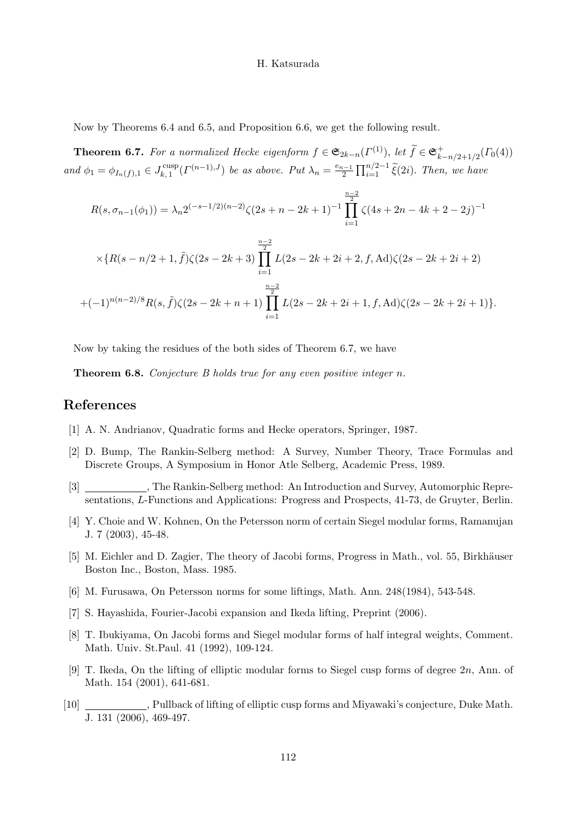Now by Theorems 6.4 and 6.5, and Proposition 6.6, we get the following result.

**Theorem 6.7.** For a normalized Hecke eigenform  $f \in \mathfrak{S}_{2k-n}(\Gamma^{(1)}),$  let  $\widetilde{f} \in \mathfrak{S}_{k-n/2+1/2}^+(\Gamma_0(4))$  $k-n/2+1/2$ and  $\phi_1 = \phi_{I_n(f),1} \in J_{k,1}^{\text{cusp}}(\Gamma^{(n-1),J})$  be as above. Put  $\lambda_n = \frac{e_{n-1}}{2} \prod_{i=1}^{n/2-1} \tilde{\xi}(2i)$ . Then, we have

$$
R(s, \sigma_{n-1}(\phi_1)) = \lambda_n 2^{(-s-1/2)(n-2)} \zeta(2s+n-2k+1)^{-1} \prod_{i=1}^{\frac{n-2}{2}} \zeta(4s+2n-4k+2-2j)^{-1}
$$
  
 
$$
\times \{R(s-n/2+1, \tilde{f})\zeta(2s-2k+3) \prod_{i=1}^{\frac{n-2}{2}} L(2s-2k+2i+2, f, \text{Ad})\zeta(2s-2k+2i+2)
$$
  
+(-1)<sup>n(n-2)/8</sup>R(s, \tilde{f})\zeta(2s-2k+n+1) 
$$
\prod_{i=1}^{\frac{n-2}{2}} L(2s-2k+2i+1, f, \text{Ad})\zeta(2s-2k+2i+1)\}.
$$

Now by taking the residues of the both sides of Theorem 6.7, we have

Theorem 6.8. Conjecture B holds true for any even positive integer n.

# References

- [1] A. N. Andrianov, Quadratic forms and Hecke operators, Springer, 1987.
- [2] D. Bump, The Rankin-Selberg method: A Survey, Number Theory, Trace Formulas and Discrete Groups, A Symposium in Honor Atle Selberg, Academic Press, 1989.
- \_, The Rankin-Selberg method: An Introduction and Survey, Automorphic Representations, L-Functions and Applications: Progress and Prospects, 41-73, de Gruyter, Berlin.
- [4] Y. Choie and W. Kohnen, On the Petersson norm of certain Siegel modular forms, Ramanujan J. 7 (2003), 45-48.
- [5] M. Eichler and D. Zagier, The theory of Jacobi forms, Progress in Math., vol. 55, Birkhäuser Boston Inc., Boston, Mass. 1985.
- [6] M. Furusawa, On Petersson norms for some liftings, Math. Ann. 248(1984), 543-548.
- [7] S. Hayashida, Fourier-Jacobi expansion and Ikeda lifting, Preprint (2006).
- [8] T. Ibukiyama, On Jacobi forms and Siegel modular forms of half integral weights, Comment. Math. Univ. St.Paul. 41 (1992), 109-124.
- [9] T. Ikeda, On the lifting of elliptic modular forms to Siegel cusp forms of degree 2n, Ann. of Math. 154 (2001), 641-681.
- [10] , Pullback of lifting of elliptic cusp forms and Miyawaki's conjecture, Duke Math. J. 131 (2006), 469-497.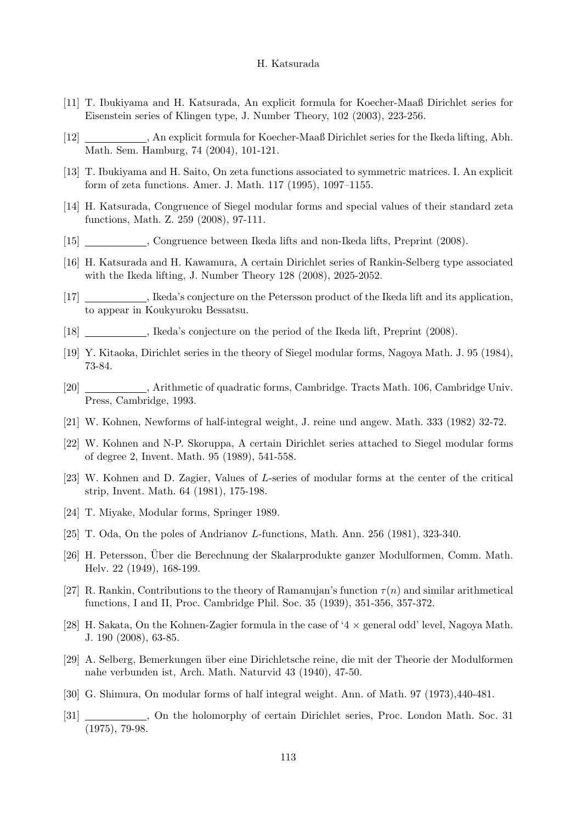- [11] T. Ibukiyama and H. Katsurada, An explicit formula for Koecher-Maaß Dirichlet series for Eisenstein series of Klingen type, J. Number Theory, 102 (2003), 223-256.
- [12] , An explicit formula for Koecher-Maaß Dirichlet series for the Ikeda lifting, Abh. Math. Sem. Hamburg, 74 (2004), 101-121.
- [13] T. Ibukiyama and H. Saito, On zeta functions associated to symmetric matrices. I. An explicit form of zeta functions. Amer. J. Math. 117 (1995), 1097–1155.
- [14] H. Katsurada, Congruence of Siegel modular forms and special values of their standard zeta functions, Math. Z. 259 (2008), 97-111.
- [15] , Congruence between Ikeda lifts and non-Ikeda lifts, Preprint (2008).
- [16] H. Katsurada and H. Kawamura, A certain Dirichlet series of Rankin-Selberg type associated with the Ikeda lifting, J. Number Theory 128 (2008), 2025-2052.
- [17] , Ikeda's conjecture on the Petersson product of the Ikeda lift and its application, to appear in Koukyuroku Bessatsu.
- [18] , Ikeda's conjecture on the period of the Ikeda lift, Preprint (2008).
- [19] Y. Kitaoka, Dirichlet series in the theory of Siegel modular forms, Nagoya Math. J. 95 (1984), 73-84.
- [20] , Arithmetic of quadratic forms, Cambridge. Tracts Math. 106, Cambridge Univ. Press, Cambridge, 1993.
- [21] W. Kohnen, Newforms of half-integral weight, J. reine und angew. Math. 333 (1982) 32-72.
- [22] W. Kohnen and N-P. Skoruppa, A certain Dirichlet series attached to Siegel modular forms of degree 2, Invent. Math. 95 (1989), 541-558.
- [23] W. Kohnen and D. Zagier, Values of L-series of modular forms at the center of the critical strip, Invent. Math. 64 (1981), 175-198.
- [24] T. Miyake, Modular forms, Springer 1989.
- [25] T. Oda, On the poles of Andrianov L-functions, Math. Ann. 256 (1981), 323-340.
- [26] H. Petersson, Uber die Berechnung der Skalarprodukte ganzer Modulformen, Comm. Math. ¨ Helv. 22 (1949), 168-199.
- [27] R. Rankin, Contributions to the theory of Ramanujan's function  $\tau(n)$  and similar arithmetical functions, I and II, Proc. Cambridge Phil. Soc. 35 (1939), 351-356, 357-372.
- [28] H. Sakata, On the Kohnen-Zagier formula in the case of '4  $\times$  general odd' level, Nagoya Math. J. 190 (2008), 63-85.
- [29] A. Selberg, Bemerkungen ¨uber eine Dirichletsche reine, die mit der Theorie der Modulformen nahe verbunden ist, Arch. Math. Naturvid 43 (1940), 47-50.
- [30] G. Shimura, On modular forms of half integral weight. Ann. of Math. 97 (1973),440-481.
- [31] , On the holomorphy of certain Dirichlet series, Proc. London Math. Soc. 31 (1975), 79-98.